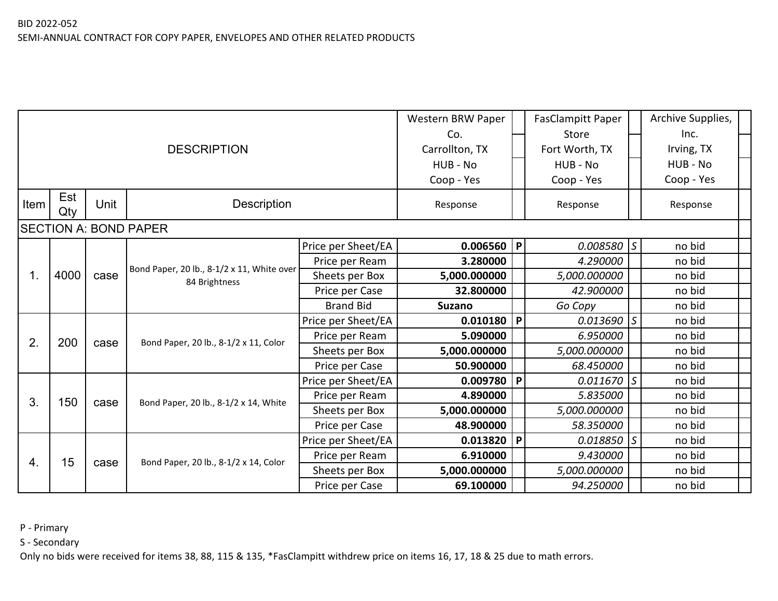|                       |                                          |                                                             |                                       |                    | Western BRW Paper |                | <b>FasClampitt Paper</b> | Archive Supplies, |  |
|-----------------------|------------------------------------------|-------------------------------------------------------------|---------------------------------------|--------------------|-------------------|----------------|--------------------------|-------------------|--|
|                       |                                          |                                                             |                                       |                    | Co.               |                | Store                    | Inc.              |  |
|                       |                                          |                                                             | <b>DESCRIPTION</b>                    |                    | Carrollton, TX    |                | Fort Worth, TX           | Irving, TX        |  |
|                       |                                          |                                                             |                                       |                    | HUB - No          |                | HUB - No                 | HUB - No          |  |
|                       |                                          |                                                             |                                       |                    | Coop - Yes        |                | Coop - Yes               | Coop - Yes        |  |
| Item                  | Est<br>Unit<br><b>Description</b><br>Qty |                                                             |                                       |                    | Response          |                | Response                 | Response          |  |
|                       |                                          |                                                             | <b>SECTION A: BOND PAPER</b>          |                    |                   |                |                          |                   |  |
|                       |                                          |                                                             |                                       | Price per Sheet/EA | 0.006560          | P              | $0.008580$ $S$           | no bid            |  |
|                       |                                          |                                                             |                                       | Price per Ream     | 3.280000          |                | 4.290000                 | no bid            |  |
| 4000<br>$\mathbf 1$ . | case                                     | Bond Paper, 20 lb., 8-1/2 x 11, White over<br>84 Brightness | Sheets per Box                        | 5,000.000000       |                   | 5,000.000000   | no bid                   |                   |  |
|                       |                                          |                                                             |                                       | Price per Case     | 32.800000         |                | 42.900000                | no bid            |  |
|                       |                                          |                                                             |                                       | <b>Brand Bid</b>   | <b>Suzano</b>     |                | Go Copy                  | no bid            |  |
|                       |                                          |                                                             |                                       | Price per Sheet/EA | 0.010180          | P              | $0.013690$ S             | no bid            |  |
| 2.                    | 200                                      | case                                                        | Bond Paper, 20 lb., 8-1/2 x 11, Color | Price per Ream     | 5.090000          |                | 6.950000                 | no bid            |  |
|                       |                                          |                                                             |                                       | Sheets per Box     | 5,000.000000      |                | 5,000.000000             | no bid            |  |
|                       |                                          |                                                             |                                       | Price per Case     | 50.900000         |                | 68.450000                | no bid            |  |
|                       |                                          |                                                             |                                       | Price per Sheet/EA | 0.009780          | $\overline{P}$ | $0.011670$ S             | no bid            |  |
| 3.                    | 150                                      | case                                                        | Bond Paper, 20 lb., 8-1/2 x 14, White | Price per Ream     | 4.890000          |                | 5.835000                 | no bid            |  |
|                       |                                          |                                                             |                                       | Sheets per Box     | 5,000.000000      |                | 5,000.000000             | no bid            |  |
|                       |                                          |                                                             |                                       | Price per Case     | 48.900000         |                | 58.350000                | no bid            |  |
|                       |                                          |                                                             |                                       | Price per Sheet/EA | 0.013820          | $\overline{P}$ | $0.018850$ S             | no bid            |  |
| 4.                    | 15                                       | case                                                        | Bond Paper, 20 lb., 8-1/2 x 14, Color | Price per Ream     | 6.910000          |                | 9.430000                 | no bid            |  |
|                       |                                          |                                                             |                                       | Sheets per Box     | 5,000.000000      |                | 5,000.000000             | no bid            |  |
|                       |                                          |                                                             |                                       | Price per Case     | 69.100000         |                | 94.250000                | no bid            |  |

P - Primary

S - Secondary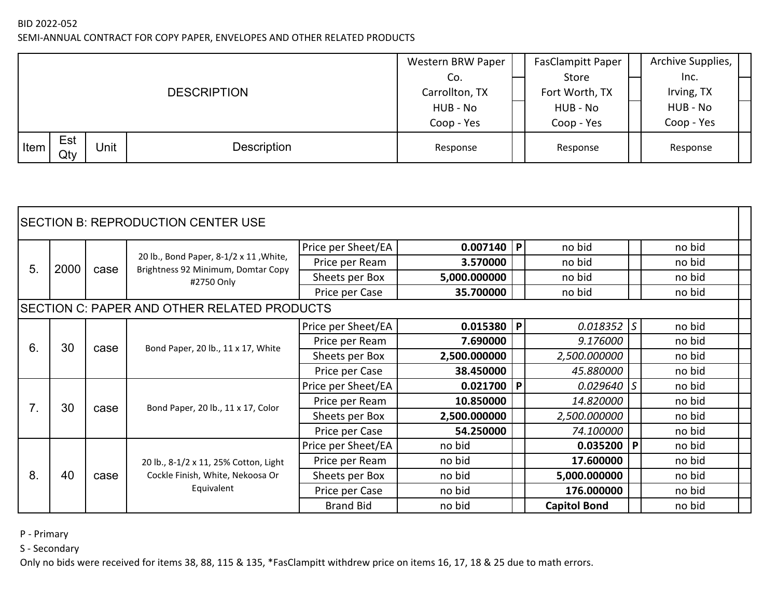## SEMI-ANNUAL CONTRACT FOR COPY PAPER, ENVELOPES AND OTHER RELATED PRODUCTS

|      |            |      |                    | Western BRW Paper | <b>FasClampitt Paper</b> | Archive Supplies, |
|------|------------|------|--------------------|-------------------|--------------------------|-------------------|
|      |            |      |                    | Co.               | Store                    | Inc.              |
|      |            |      | <b>DESCRIPTION</b> | Carrollton, TX    | Fort Worth, TX           | Irving, TX        |
|      |            |      |                    | HUB - No          | HUB - No                 | HUB - No          |
|      |            |      |                    | Coop - Yes        | Coop - Yes               | Coop - Yes        |
| Item | Est<br>Qty | Unit | Description        | Response          | Response                 | Response          |

|    |      |      | SECTION B: REPRODUCTION CENTER USE                                           |                    |                |              |                     |        |
|----|------|------|------------------------------------------------------------------------------|--------------------|----------------|--------------|---------------------|--------|
|    |      |      |                                                                              | Price per Sheet/EA | $0.007140$   P |              | no bid              | no bid |
| 5. | 2000 | case | 20 lb., Bond Paper, 8-1/2 x 11, White,<br>Brightness 92 Minimum, Domtar Copy | Price per Ream     | 3.570000       |              | no bid              | no bid |
|    |      |      | #2750 Only                                                                   | Sheets per Box     | 5,000.000000   |              | no bid              | no bid |
|    |      |      |                                                                              | Price per Case     | 35.700000      |              | no bid              | no bid |
|    |      |      | SECTION C: PAPER AND OTHER RELATED PRODUCTS                                  |                    |                |              |                     |        |
|    |      |      |                                                                              | Price per Sheet/EA | 0.015380  P    |              | $0.018352$ S        | no bid |
| 6. | 30   | case | Bond Paper, 20 lb., 11 x 17, White                                           | Price per Ream     | 7.690000       |              | 9.176000            | no bid |
|    |      |      |                                                                              | Sheets per Box     | 2,500.000000   |              | 2,500.000000        | no bid |
|    |      |      |                                                                              | Price per Case     | 38.450000      |              | 45.880000           | no bid |
|    |      |      |                                                                              | Price per Sheet/EA | 0.021700       | $\mathsf{P}$ | $0.029640$ S        | no bid |
| 7. | 30   | case | Bond Paper, 20 lb., 11 x 17, Color                                           | Price per Ream     | 10.850000      |              | 14.820000           | no bid |
|    |      |      |                                                                              | Sheets per Box     | 2,500.000000   |              | 2,500.000000        | no bid |
|    |      |      |                                                                              | Price per Case     | 54.250000      |              | 74.100000           | no bid |
|    |      |      |                                                                              | Price per Sheet/EA | no bid         |              | $0.035200$   P      | no bid |
|    |      |      | 20 lb., 8-1/2 x 11, 25% Cotton, Light                                        | Price per Ream     | no bid         |              | 17.600000           | no bid |
| 8. | 40   | case | Cockle Finish, White, Nekoosa Or                                             | Sheets per Box     | no bid         |              | 5,000.000000        | no bid |
|    |      |      | Equivalent                                                                   | Price per Case     | no bid         |              | 176.000000          | no bid |
|    |      |      |                                                                              | <b>Brand Bid</b>   | no bid         |              | <b>Capitol Bond</b> | no bid |

P - Primary

S - Secondary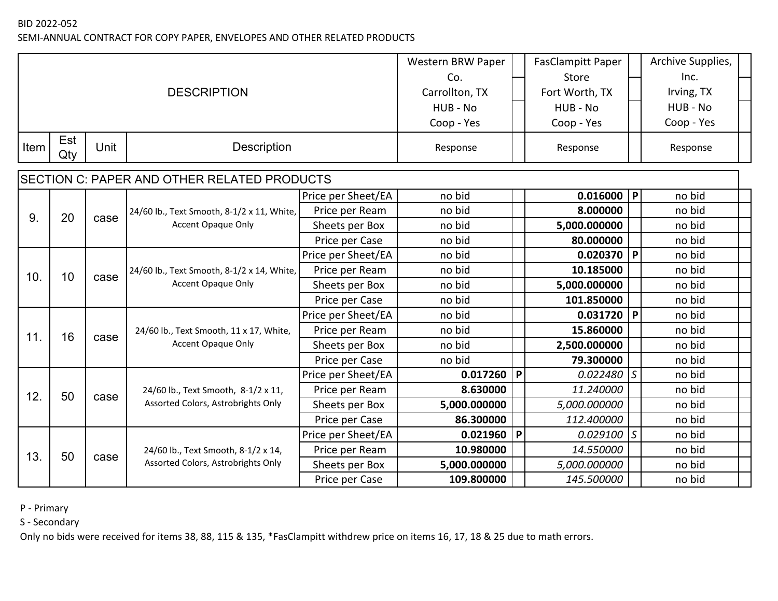SEMI-ANNUAL CONTRACT FOR COPY PAPER, ENVELOPES AND OTHER RELATED PRODUCTS

|      |                                          |      |                                             |                    | Western BRW Paper |              | <b>FasClampitt Paper</b> |               | Archive Supplies, |
|------|------------------------------------------|------|---------------------------------------------|--------------------|-------------------|--------------|--------------------------|---------------|-------------------|
|      |                                          |      |                                             |                    | Co.               |              | Store                    |               | Inc.              |
|      |                                          |      | <b>DESCRIPTION</b>                          |                    | Carrollton, TX    |              | Fort Worth, TX           |               | Irving, TX        |
|      |                                          |      |                                             |                    | HUB - No          |              | HUB - No                 |               | HUB - No          |
|      |                                          |      |                                             |                    | Coop - Yes        |              | Coop - Yes               |               | Coop - Yes        |
| Item | Est<br><b>Description</b><br>Unit<br>Qty |      |                                             |                    | Response          |              | Response                 |               | Response          |
|      |                                          |      | SECTION C: PAPER AND OTHER RELATED PRODUCTS |                    |                   |              |                          |               |                   |
|      |                                          |      |                                             | Price per Sheet/EA | no bid            |              | 0.016000                 | P             | no bid            |
| 9.   | 20                                       |      | 24/60 lb., Text Smooth, 8-1/2 x 11, White,  | Price per Ream     | no bid            |              | 8.000000                 |               | no bid            |
|      |                                          | case | Accent Opaque Only                          | Sheets per Box     | no bid            |              | 5,000.000000             |               | no bid            |
|      |                                          |      |                                             | Price per Case     | no bid            |              | 80.000000                |               | no bid            |
|      |                                          |      | Price per Sheet/EA                          | no bid             |                   | 0.020370     | $\mathsf{P}$             | no bid        |                   |
| 10.  | 10                                       | case | 24/60 lb., Text Smooth, 8-1/2 x 14, White,  | Price per Ream     | no bid            |              | 10.185000                |               | no bid            |
|      |                                          |      | Accent Opaque Only                          | Sheets per Box     | no bid            |              | 5,000.000000             |               | no bid            |
|      |                                          |      |                                             | Price per Case     | no bid            |              | 101.850000               |               | no bid            |
|      |                                          |      |                                             | Price per Sheet/EA | no bid            |              | 0.031720                 | P             | no bid            |
| 11.  | 16                                       | case | 24/60 lb., Text Smooth, 11 x 17, White,     | Price per Ream     | no bid            |              | 15.860000                |               | no bid            |
|      |                                          |      | <b>Accent Opaque Only</b>                   | Sheets per Box     | no bid            |              | 2,500.000000             |               | no bid            |
|      |                                          |      |                                             | Price per Case     | no bid            |              | 79.300000                |               | no bid            |
|      |                                          |      |                                             | Price per Sheet/EA | 0.017260          | $\mathsf{P}$ | 0.022480                 | $\mathcal{S}$ | no bid            |
| 12.  | 50                                       | case | 24/60 lb., Text Smooth, 8-1/2 x 11,         | Price per Ream     | 8.630000          |              | 11.240000                |               | no bid            |
|      |                                          |      | Assorted Colors, Astrobrights Only          | Sheets per Box     | 5,000.000000      |              | 5,000.000000             |               | no bid            |
|      |                                          |      |                                             | Price per Case     | 86.300000         |              | 112.400000               |               | no bid            |
|      |                                          |      |                                             | Price per Sheet/EA | 0.021960   P      |              | $0.029100$ S             |               | no bid            |
| 13.  | 50                                       | case | 24/60 lb., Text Smooth, 8-1/2 x 14,         | Price per Ream     | 10.980000         |              | 14.550000                |               | no bid            |
|      |                                          |      | Assorted Colors, Astrobrights Only          | Sheets per Box     | 5,000.000000      |              | 5,000.000000             |               | no bid            |
|      |                                          |      |                                             | Price per Case     | 109.800000        |              | 145.500000               |               | no bid            |

P - Primary

S - Secondary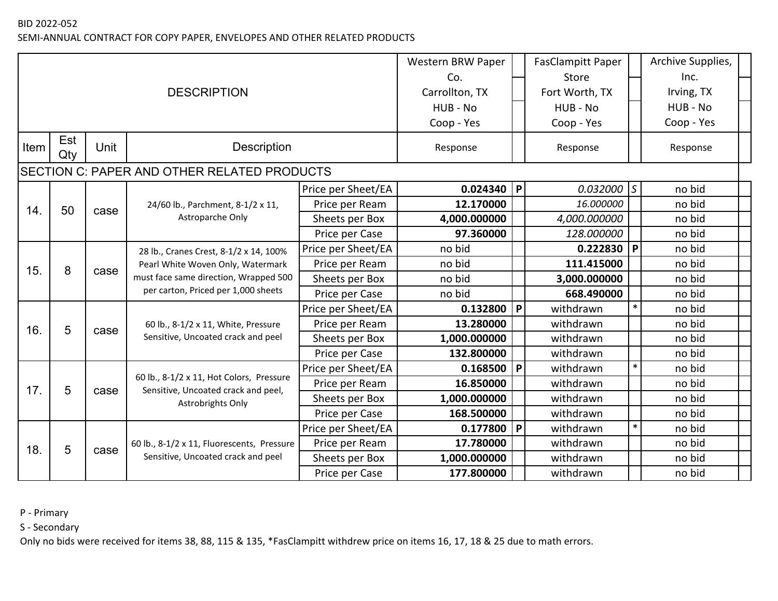SEMI-ANNUAL CONTRACT FOR COPY PAPER, ENVELOPES AND OTHER RELATED PRODUCTS

|                                             |            |      |                                                                                 |                    | Western BRW Paper |              | <b>FasClampitt Paper</b> |        | Archive Supplies, |  |
|---------------------------------------------|------------|------|---------------------------------------------------------------------------------|--------------------|-------------------|--------------|--------------------------|--------|-------------------|--|
|                                             |            |      |                                                                                 |                    | Co.               |              | Store                    |        | Inc.              |  |
|                                             |            |      | <b>DESCRIPTION</b>                                                              |                    | Carrollton, TX    |              | Fort Worth, TX           |        | Irving, TX        |  |
|                                             |            |      |                                                                                 |                    | HUB - No          |              | HUB - No                 |        | HUB - No          |  |
|                                             |            |      |                                                                                 |                    | Coop - Yes        |              | Coop - Yes               |        | Coop - Yes        |  |
| Item                                        | Est<br>Qty | Unit | <b>Description</b>                                                              |                    | Response          |              | Response                 |        | Response          |  |
| SECTION C: PAPER AND OTHER RELATED PRODUCTS |            |      |                                                                                 |                    |                   |              |                          |        |                   |  |
|                                             |            |      | Price per Sheet/EA                                                              | 0.024340           | P                 | $0.032000$ S |                          | no bid |                   |  |
| 14.                                         | 50         | case | 24/60 lb., Parchment, 8-1/2 x 11,                                               | Price per Ream     | 12.170000         |              | 16.000000                |        | no bid            |  |
|                                             |            |      | Astroparche Only                                                                | Sheets per Box     | 4,000.000000      |              | 4,000.000000             |        | no bid            |  |
|                                             |            |      |                                                                                 | Price per Case     | 97.360000         |              | 128.000000               |        | no bid            |  |
|                                             |            |      | 28 lb., Cranes Crest, 8-1/2 x 14, 100%                                          | Price per Sheet/EA | no bid            |              | 0.222830                 | P      | no bid            |  |
| 15.                                         | 8          |      | Pearl White Woven Only, Watermark<br>must face same direction, Wrapped 500      | Price per Ream     | no bid            |              | 111.415000               |        | no bid            |  |
|                                             |            | case |                                                                                 | Sheets per Box     | no bid            |              | 3,000.000000             |        | no bid            |  |
|                                             |            |      | per carton, Priced per 1,000 sheets                                             | Price per Case     | no bid            |              | 668.490000               |        | no bid            |  |
|                                             |            |      |                                                                                 | Price per Sheet/EA | 0.132800          | $\mathsf{P}$ | withdrawn                | $\ast$ | no bid            |  |
| 16.                                         | 5          | case | 60 lb., 8-1/2 x 11, White, Pressure                                             | Price per Ream     | 13.280000         |              | withdrawn                |        | no bid            |  |
|                                             |            |      | Sensitive, Uncoated crack and peel                                              | Sheets per Box     | 1,000.000000      |              | withdrawn                |        | no bid            |  |
|                                             |            |      |                                                                                 | Price per Case     | 132.800000        |              | withdrawn                |        | no bid            |  |
|                                             |            |      |                                                                                 | Price per Sheet/EA | 0.168500          | P            | withdrawn                | $\ast$ | no bid            |  |
|                                             |            | case | 60 lb., 8-1/2 x 11, Hot Colors, Pressure<br>Sensitive, Uncoated crack and peel, | Price per Ream     | 16.850000         |              | withdrawn                |        | no bid            |  |
|                                             | 17.<br>5   |      | Astrobrights Only                                                               | Sheets per Box     | 1,000.000000      |              | withdrawn                |        | no bid            |  |
|                                             |            |      |                                                                                 | Price per Case     | 168.500000        |              | withdrawn                |        | no bid            |  |
|                                             |            |      |                                                                                 | Price per Sheet/EA | 0.177800          | l P          | withdrawn                | ∗      | no bid            |  |
| 18.                                         | 5          | case | 60 lb., 8-1/2 x 11, Fluorescents, Pressure                                      | Price per Ream     | 17.780000         |              | withdrawn                |        | no bid            |  |
|                                             |            |      | Sensitive, Uncoated crack and peel                                              | Sheets per Box     | 1,000.000000      |              | withdrawn                |        | no bid            |  |
|                                             |            |      |                                                                                 | Price per Case     | 177.800000        |              | withdrawn                |        | no bid            |  |

P - Primary

S - Secondary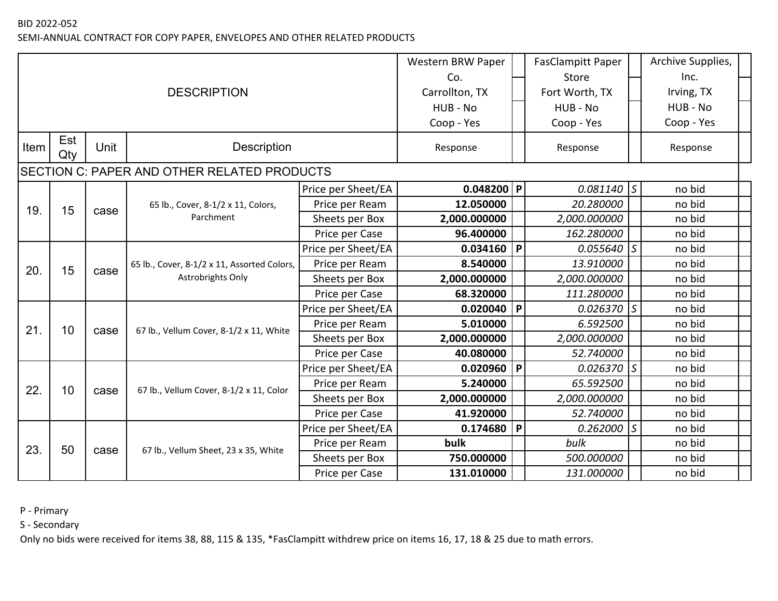SEMI-ANNUAL CONTRACT FOR COPY PAPER, ENVELOPES AND OTHER RELATED PRODUCTS

|                                                    |            |      |                                                                  |                    | Western BRW Paper |              | <b>FasClampitt Paper</b> | Archive Supplies, |
|----------------------------------------------------|------------|------|------------------------------------------------------------------|--------------------|-------------------|--------------|--------------------------|-------------------|
|                                                    |            |      |                                                                  |                    | Co.               |              | Store                    | Inc.              |
|                                                    |            |      | <b>DESCRIPTION</b>                                               |                    | Carrollton, TX    |              | Fort Worth, TX           | Irving, TX        |
|                                                    |            |      |                                                                  |                    | HUB - No          |              | HUB - No                 | HUB - No          |
|                                                    |            |      |                                                                  |                    | Coop - Yes        |              | Coop - Yes               | Coop - Yes        |
| Item                                               | Est<br>Qty | Unit | <b>Description</b>                                               |                    | Response          |              | Response                 | Response          |
| <b>SECTION C: PAPER AND OTHER RELATED PRODUCTS</b> |            |      |                                                                  |                    |                   |              |                          |                   |
|                                                    |            |      |                                                                  | Price per Sheet/EA | 0.048200 P        |              | $0.081140$ S             | no bid            |
| 19.                                                | 15         | case | 65 lb., Cover, 8-1/2 x 11, Colors,                               | Price per Ream     | 12.050000         |              | 20.280000                | no bid            |
|                                                    |            |      | Parchment                                                        | Sheets per Box     | 2,000.000000      |              | 2,000.000000             | no bid            |
|                                                    |            |      |                                                                  | Price per Case     | 96.400000         |              | 162.280000               | no bid            |
|                                                    |            |      | Price per Sheet/EA                                               | 0.034160           | P                 | $0.055640$ S | no bid                   |                   |
| 20.                                                | 15         |      | 65 lb., Cover, 8-1/2 x 11, Assorted Colors,<br>Astrobrights Only | Price per Ream     | 8.540000          |              | 13.910000                | no bid            |
|                                                    |            | case |                                                                  | Sheets per Box     | 2,000.000000      |              | 2,000.000000             | no bid            |
|                                                    |            |      |                                                                  | Price per Case     | 68.320000         |              | 111.280000               | no bid            |
|                                                    |            |      |                                                                  | Price per Sheet/EA | 0.020040          | $\mathsf{P}$ | $0.026370$ S             | no bid            |
| 21.                                                | 10         | case | 67 lb., Vellum Cover, 8-1/2 x 11, White                          | Price per Ream     | 5.010000          |              | 6.592500                 | no bid            |
|                                                    |            |      |                                                                  | Sheets per Box     | 2,000.000000      |              | 2,000.000000             | no bid            |
|                                                    |            |      |                                                                  | Price per Case     | 40.080000         |              | 52.740000                | no bid            |
|                                                    |            |      |                                                                  | Price per Sheet/EA | 0.020960          | P            | $0.026370$ S             | no bid            |
| 22.                                                | 10         | case | 67 lb., Vellum Cover, 8-1/2 x 11, Color                          | Price per Ream     | 5.240000          |              | 65.592500                | no bid            |
|                                                    |            |      |                                                                  | Sheets per Box     | 2,000.000000      |              | 2,000.000000             | no bid            |
|                                                    |            |      |                                                                  | Price per Case     | 41.920000         |              | 52.740000                | no bid            |
|                                                    |            |      |                                                                  | Price per Sheet/EA | 0.174680          | P            | $0.262000$ S             | no bid            |
| 23.                                                | 50         | case | 67 lb., Vellum Sheet, 23 x 35, White                             | Price per Ream     | bulk              |              | bulk                     | no bid            |
|                                                    |            |      |                                                                  | Sheets per Box     | 750.000000        |              | 500.000000               | no bid            |
|                                                    |            |      |                                                                  | Price per Case     | 131.010000        |              | 131.000000               | no bid            |

P - Primary

S - Secondary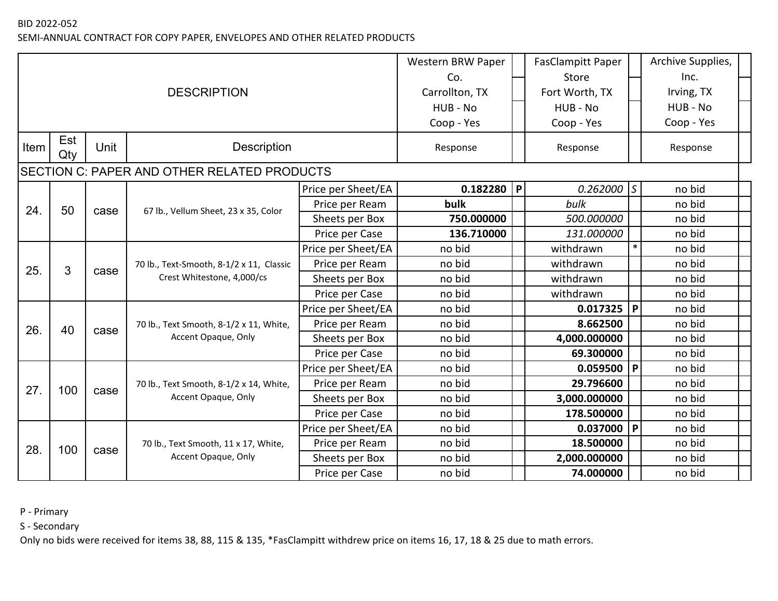SEMI-ANNUAL CONTRACT FOR COPY PAPER, ENVELOPES AND OTHER RELATED PRODUCTS

|      |                                                    |                                          |                                              |                    | Western BRW Paper |              | <b>FasClampitt Paper</b> |        | Archive Supplies, |
|------|----------------------------------------------------|------------------------------------------|----------------------------------------------|--------------------|-------------------|--------------|--------------------------|--------|-------------------|
|      |                                                    |                                          |                                              |                    | Co.               |              | Store                    |        | Inc.              |
|      |                                                    |                                          | <b>DESCRIPTION</b>                           |                    | Carrollton, TX    |              | Fort Worth, TX           |        | Irving, TX        |
|      |                                                    |                                          |                                              |                    | HUB - No          |              | HUB - No                 |        | HUB - No          |
|      |                                                    |                                          |                                              |                    | Coop - Yes        |              | Coop - Yes               |        | Coop - Yes        |
| Item | Est<br>Qty                                         | Unit                                     | <b>Description</b>                           |                    | Response          |              | Response                 |        | Response          |
|      | <b>SECTION C: PAPER AND OTHER RELATED PRODUCTS</b> |                                          |                                              |                    |                   |              |                          |        |                   |
|      |                                                    |                                          | Price per Sheet/EA                           | 0.182280           | P                 | $0.262000$ S |                          | no bid |                   |
| 24.  | 50                                                 |                                          | 67 lb., Vellum Sheet, 23 x 35, Color<br>case | Price per Ream     | bulk              |              | bulk                     |        | no bid            |
|      |                                                    |                                          |                                              | Sheets per Box     | 750.000000        |              | 500.000000               |        | no bid            |
|      |                                                    |                                          |                                              | Price per Case     | 136.710000        |              | 131.000000               |        | no bid            |
|      | 3<br>case                                          | 70 lb., Text-Smooth, 8-1/2 x 11, Classic | Price per Sheet/EA                           | no bid             |                   | withdrawn    | $\ast$                   | no bid |                   |
| 25.  |                                                    |                                          | Price per Ream                               | no bid             |                   | withdrawn    |                          | no bid |                   |
|      |                                                    |                                          | Crest Whitestone, 4,000/cs                   | Sheets per Box     | no bid            |              | withdrawn                |        | no bid            |
|      |                                                    |                                          |                                              | Price per Case     | no bid            |              | withdrawn                |        | no bid            |
|      |                                                    |                                          |                                              | Price per Sheet/EA | no bid            |              | 0.017325                 | P      | no bid            |
| 26.  | 40                                                 | case                                     | 70 lb., Text Smooth, 8-1/2 x 11, White,      | Price per Ream     | no bid            |              | 8.662500                 |        | no bid            |
|      |                                                    |                                          | Accent Opaque, Only                          | Sheets per Box     | no bid            |              | 4,000.000000             |        | no bid            |
|      |                                                    |                                          |                                              | Price per Case     | no bid            |              | 69.300000                |        | no bid            |
|      |                                                    |                                          |                                              | Price per Sheet/EA | no bid            |              | $0.059500$   P           |        | no bid            |
|      |                                                    |                                          | 70 lb., Text Smooth, 8-1/2 x 14, White,      | Price per Ream     | no bid            |              | 29.796600                |        | no bid            |
|      | 27.<br>100<br>case                                 | Accent Opaque, Only                      | Sheets per Box                               | no bid             |                   | 3,000.000000 |                          | no bid |                   |
|      |                                                    |                                          |                                              | Price per Case     | no bid            |              | 178.500000               |        | no bid            |
|      |                                                    |                                          |                                              | Price per Sheet/EA | no bid            |              | 0.037000                 | P      | no bid            |
| 28.  | 100                                                | case                                     | 70 lb., Text Smooth, 11 x 17, White,         | Price per Ream     | no bid            |              | 18.500000                |        | no bid            |
|      |                                                    |                                          | Accent Opaque, Only                          | Sheets per Box     | no bid            |              | 2,000.000000             |        | no bid            |
|      |                                                    |                                          | Price per Case                               | no bid             |                   | 74.000000    |                          | no bid |                   |

P - Primary

S - Secondary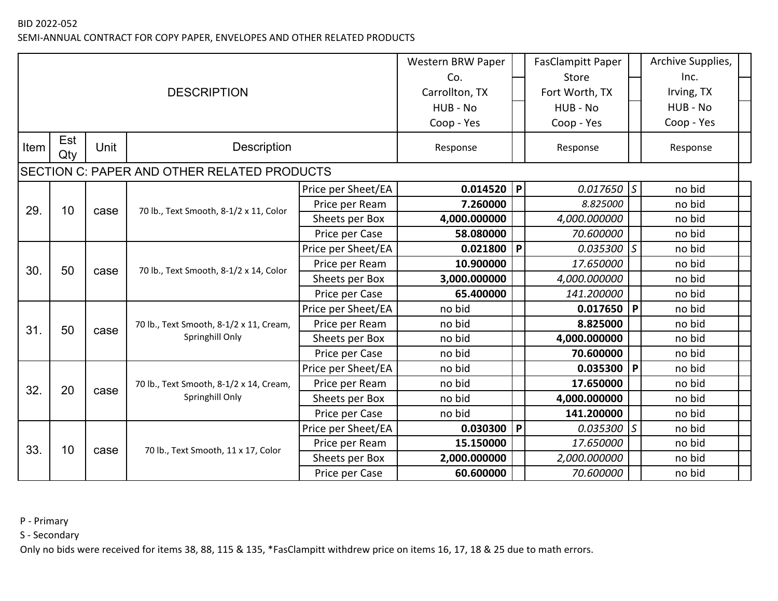SEMI-ANNUAL CONTRACT FOR COPY PAPER, ENVELOPES AND OTHER RELATED PRODUCTS

|                                             |            |      |                                                |                    | Western BRW Paper |              | <b>FasClampitt Paper</b> |               | Archive Supplies, |
|---------------------------------------------|------------|------|------------------------------------------------|--------------------|-------------------|--------------|--------------------------|---------------|-------------------|
|                                             |            |      |                                                |                    | Co.               |              | Store                    |               | Inc.              |
|                                             |            |      | <b>DESCRIPTION</b>                             |                    | Carrollton, TX    |              | Fort Worth, TX           |               | Irving, TX        |
|                                             |            |      |                                                |                    | HUB - No          |              | HUB - No                 |               | HUB - No          |
|                                             |            |      |                                                |                    | Coop - Yes        |              | Coop - Yes               |               | Coop - Yes        |
| Item                                        | Est<br>Qty | Unit | <b>Description</b>                             |                    | Response          |              | Response                 |               | Response          |
| SECTION C: PAPER AND OTHER RELATED PRODUCTS |            |      |                                                |                    |                   |              |                          |               |                   |
|                                             |            |      | Price per Sheet/EA                             | 0.014520           | P                 | $0.017650$ S |                          | no bid        |                   |
| 29.                                         | 10         | case | 70 lb., Text Smooth, 8-1/2 x 11, Color         | Price per Ream     | 7.260000          |              | 8.825000                 |               | no bid            |
|                                             |            |      |                                                | Sheets per Box     | 4,000.000000      |              | 4,000.000000             |               | no bid            |
|                                             |            |      |                                                | Price per Case     | 58.080000         |              | 70.600000                |               | no bid            |
|                                             |            |      | Price per Sheet/EA                             | 0.021800           | P                 | 0.035300     | $\mathcal{S}$            | no bid        |                   |
| 30.                                         | 50         |      | 70 lb., Text Smooth, 8-1/2 x 14, Color<br>case | Price per Ream     | 10.900000         |              | 17.650000                |               | no bid            |
|                                             |            |      |                                                | Sheets per Box     | 3,000.000000      |              | 4,000.000000             |               | no bid            |
|                                             |            |      |                                                | Price per Case     | 65.400000         |              | 141.200000               |               | no bid            |
|                                             |            |      |                                                | Price per Sheet/EA | no bid            |              | $0.017650$   P           |               | no bid            |
| 31.                                         | 50         | case | 70 lb., Text Smooth, 8-1/2 x 11, Cream,        | Price per Ream     | no bid            |              | 8.825000                 |               | no bid            |
|                                             |            |      | Springhill Only                                | Sheets per Box     | no bid            |              | 4,000.000000             |               | no bid            |
|                                             |            |      |                                                | Price per Case     | no bid            |              | 70.600000                |               | no bid            |
|                                             |            |      |                                                | Price per Sheet/EA | no bid            |              | 0.035300                 | $\mathsf{P}$  | no bid            |
| 32.                                         | 20         | case | 70 lb., Text Smooth, 8-1/2 x 14, Cream,        | Price per Ream     | no bid            |              | 17.650000                |               | no bid            |
|                                             |            |      | Springhill Only                                | Sheets per Box     | no bid            |              | 4,000.000000             |               | no bid            |
|                                             |            |      |                                                | Price per Case     | no bid            |              | 141.200000               |               | no bid            |
|                                             |            |      |                                                | Price per Sheet/EA | 0.030300          | P            | 0.035300                 | $\mathcal{S}$ | no bid            |
| 33.                                         | 10         | case | 70 lb., Text Smooth, 11 x 17, Color            | Price per Ream     | 15.150000         |              | 17.650000                |               | no bid            |
|                                             |            |      |                                                | Sheets per Box     | 2,000.000000      |              | 2,000.000000             |               | no bid            |
|                                             |            |      |                                                | Price per Case     | 60.600000         |              | 70.600000                |               | no bid            |

P - Primary

S - Secondary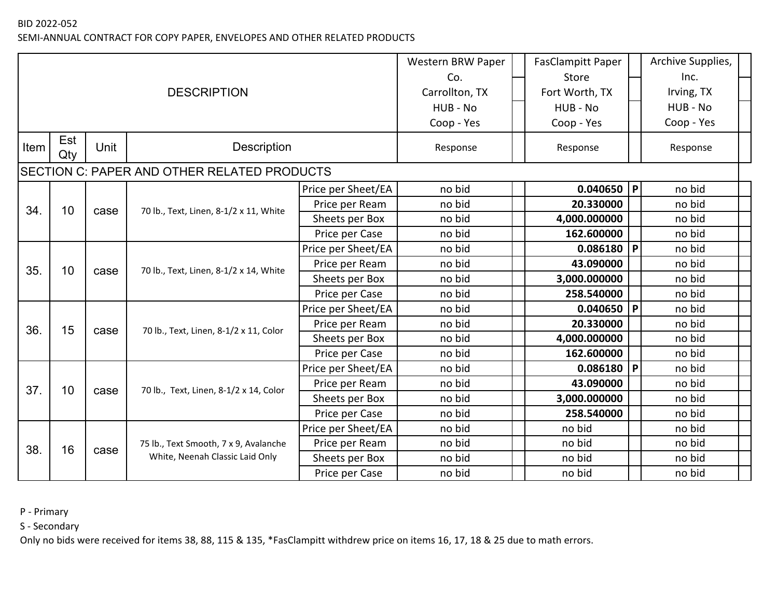SEMI-ANNUAL CONTRACT FOR COPY PAPER, ENVELOPES AND OTHER RELATED PRODUCTS

|      |                                             |      |                                        |                    | Western BRW Paper | <b>FasClampitt Paper</b> |              | Archive Supplies, |
|------|---------------------------------------------|------|----------------------------------------|--------------------|-------------------|--------------------------|--------------|-------------------|
|      |                                             |      |                                        |                    | Co.               | Store                    |              | Inc.              |
|      |                                             |      | <b>DESCRIPTION</b>                     |                    | Carrollton, TX    | Fort Worth, TX           |              | Irving, TX        |
|      |                                             |      |                                        |                    | HUB - No          | HUB - No                 |              | HUB - No          |
|      |                                             |      |                                        |                    | Coop - Yes        | Coop - Yes               |              | Coop - Yes        |
| Item | Est<br>Qty                                  | Unit | <b>Description</b>                     |                    | Response          | Response                 |              | Response          |
|      | SECTION C: PAPER AND OTHER RELATED PRODUCTS |      |                                        |                    |                   |                          |              |                   |
|      |                                             |      |                                        | Price per Sheet/EA | no bid            | 0.040650                 | $\mathsf{P}$ | no bid            |
| 34.  | 10                                          |      | 70 lb., Text, Linen, 8-1/2 x 11, White | Price per Ream     | no bid            | 20.330000                |              | no bid            |
|      |                                             | case |                                        | Sheets per Box     | no bid            | 4,000.000000             |              | no bid            |
|      |                                             |      |                                        | Price per Case     | no bid            | 162.600000               |              | no bid            |
|      |                                             |      |                                        | Price per Sheet/EA | no bid            | 0.086180                 | P            | no bid            |
| 35.  | 10<br>case                                  |      | Price per Ream                         | no bid             | 43.090000         |                          | no bid       |                   |
|      |                                             |      | 70 lb., Text, Linen, 8-1/2 x 14, White | Sheets per Box     | no bid            | 3,000.000000             |              | no bid            |
|      |                                             |      |                                        | Price per Case     | no bid            | 258.540000               |              | no bid            |
|      |                                             |      |                                        | Price per Sheet/EA | no bid            | $0.040650$   P           |              | no bid            |
| 36.  | 15                                          | case | 70 lb., Text, Linen, 8-1/2 x 11, Color | Price per Ream     | no bid            | 20.330000                |              | no bid            |
|      |                                             |      |                                        | Sheets per Box     | no bid            | 4,000.000000             |              | no bid            |
|      |                                             |      |                                        | Price per Case     | no bid            | 162.600000               |              | no bid            |
|      |                                             |      |                                        | Price per Sheet/EA | no bid            | 0.086180                 | $\mathsf{P}$ | no bid            |
|      |                                             |      | 70 lb., Text, Linen, 8-1/2 x 14, Color | Price per Ream     | no bid            | 43.090000                |              | no bid            |
|      | 37.<br>10<br>case                           |      | Sheets per Box                         | no bid             | 3,000.000000      |                          | no bid       |                   |
|      |                                             |      |                                        | Price per Case     | no bid            | 258.540000               |              | no bid            |
|      |                                             |      |                                        | Price per Sheet/EA | no bid            | no bid                   |              | no bid            |
| 38.  | 16                                          | case | 75 lb., Text Smooth, 7 x 9, Avalanche  | Price per Ream     | no bid            | no bid                   |              | no bid            |
|      |                                             |      | White, Neenah Classic Laid Only        | Sheets per Box     | no bid            | no bid                   |              | no bid            |
|      |                                             |      |                                        | Price per Case     | no bid            | no bid                   |              | no bid            |

P - Primary

S - Secondary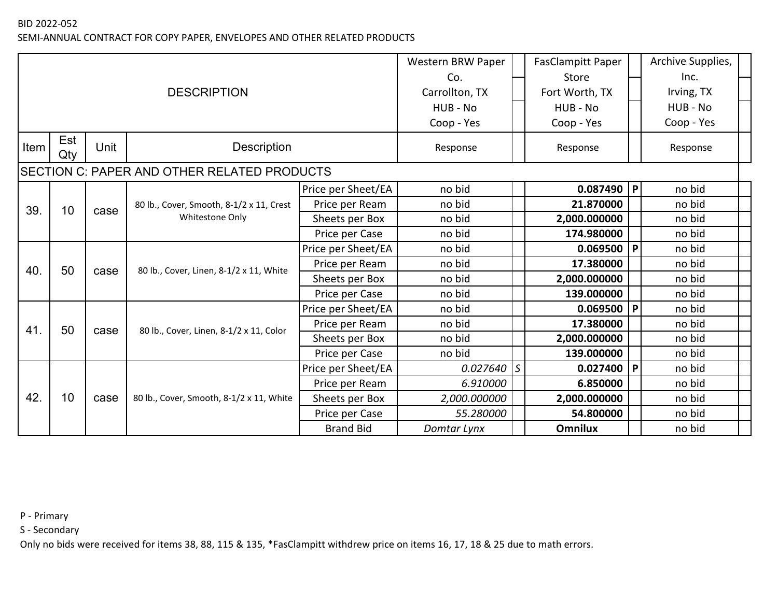SEMI-ANNUAL CONTRACT FOR COPY PAPER, ENVELOPES AND OTHER RELATED PRODUCTS

|      |            |                 |                                             |                    | Western BRW Paper |                 | <b>FasClampitt Paper</b> |              | Archive Supplies, |
|------|------------|-----------------|---------------------------------------------|--------------------|-------------------|-----------------|--------------------------|--------------|-------------------|
|      |            |                 |                                             |                    | Co.               |                 | Store                    |              | Inc.              |
|      |            |                 | <b>DESCRIPTION</b>                          |                    | Carrollton, TX    |                 | Fort Worth, TX           |              | Irving, TX        |
|      |            |                 |                                             |                    | HUB - No          |                 | HUB - No                 |              | HUB - No          |
|      |            |                 |                                             |                    | Coop - Yes        |                 | Coop - Yes               |              | Coop - Yes        |
| Item | Est<br>Qty | Unit            | Description                                 |                    | Response          |                 | Response                 |              | Response          |
|      |            |                 | SECTION C: PAPER AND OTHER RELATED PRODUCTS |                    |                   |                 |                          |              |                   |
|      |            |                 |                                             | Price per Sheet/EA | no bid            |                 | 0.087490  P              |              | no bid            |
| 39.  | 10         | case            | 80 lb., Cover, Smooth, 8-1/2 x 11, Crest    | Price per Ream     | no bid            |                 | 21.870000                |              | no bid            |
|      |            | Whitestone Only | Sheets per Box                              | no bid             |                   | 2,000.000000    |                          | no bid       |                   |
|      |            |                 | Price per Case                              | no bid             |                   | 174.980000      |                          | no bid       |                   |
|      |            |                 | Price per Sheet/EA                          | no bid             |                   | 0.069500        | P                        | no bid       |                   |
| 40.  | 50         | case            | 80 lb., Cover, Linen, 8-1/2 x 11, White     | Price per Ream     | no bid            |                 | 17.380000                |              | no bid            |
|      |            |                 |                                             | Sheets per Box     | no bid            |                 | 2,000.000000             |              | no bid            |
|      |            |                 |                                             | Price per Case     | no bid            |                 | 139.000000               |              | no bid            |
|      |            |                 |                                             | Price per Sheet/EA | no bid            |                 | 0.069500                 | $\mathsf{P}$ | no bid            |
| 41.  | 50         | case            | 80 lb., Cover, Linen, 8-1/2 x 11, Color     | Price per Ream     | no bid            |                 | 17.380000                |              | no bid            |
|      |            |                 |                                             | Sheets per Box     | no bid            |                 | 2,000.000000             |              | no bid            |
|      |            |                 |                                             | Price per Case     | no bid            |                 | 139.000000               |              | no bid            |
|      |            |                 |                                             | Price per Sheet/EA | 0.027640          | $\vert s \vert$ | 0.027400                 | P            | no bid            |
|      |            |                 |                                             | Price per Ream     | 6.910000          |                 | 6.850000                 |              | no bid            |
| 42.  | 10         | case            | 80 lb., Cover, Smooth, 8-1/2 x 11, White    | Sheets per Box     | 2,000.000000      |                 | 2,000.000000             |              | no bid            |
|      |            |                 |                                             | Price per Case     | 55.280000         |                 | 54.800000                |              | no bid            |
|      |            |                 |                                             | <b>Brand Bid</b>   | Domtar Lynx       |                 | <b>Omnilux</b>           |              | no bid            |

P - Primary

S - Secondary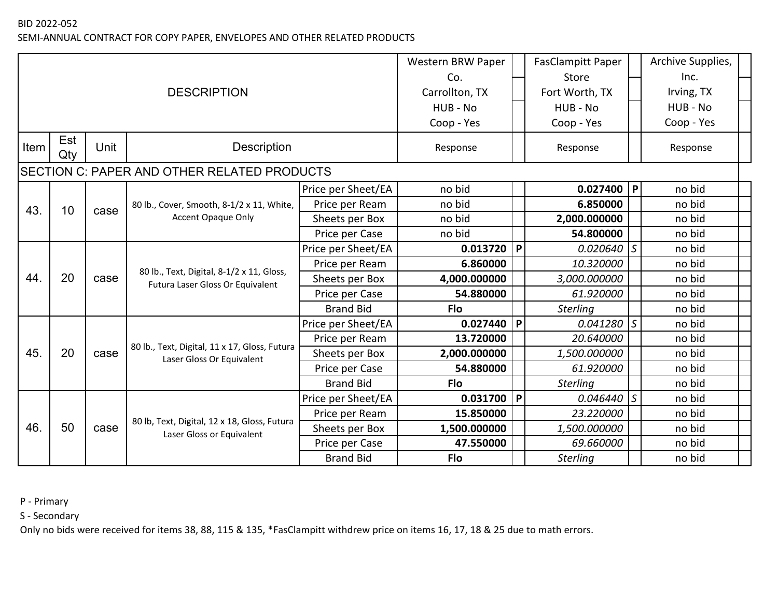SEMI-ANNUAL CONTRACT FOR COPY PAPER, ENVELOPES AND OTHER RELATED PRODUCTS

|      |                                             |      |                                                                               |                    | Western BRW Paper |           | <b>FasClampitt Paper</b> |        | Archive Supplies, |
|------|---------------------------------------------|------|-------------------------------------------------------------------------------|--------------------|-------------------|-----------|--------------------------|--------|-------------------|
|      |                                             |      |                                                                               |                    | Co.               |           | Store                    |        | Inc.              |
|      |                                             |      | <b>DESCRIPTION</b>                                                            |                    | Carrollton, TX    |           | Fort Worth, TX           |        | Irving, TX        |
|      |                                             |      |                                                                               |                    | HUB - No          |           | HUB - No                 |        | HUB - No          |
|      |                                             |      |                                                                               |                    | Coop - Yes        |           | Coop - Yes               |        | Coop - Yes        |
| Item | Est<br>Unit<br><b>Description</b><br>Qty    |      | Response                                                                      |                    | Response          |           | Response                 |        |                   |
|      | SECTION C: PAPER AND OTHER RELATED PRODUCTS |      |                                                                               |                    |                   |           |                          |        |                   |
|      |                                             |      |                                                                               | Price per Sheet/EA | no bid            |           | 0.027400                 | P      | no bid            |
| 43.  | 10                                          | case | 80 lb., Cover, Smooth, 8-1/2 x 11, White,                                     | Price per Ream     | no bid            |           | 6.850000                 |        | no bid            |
|      |                                             |      | <b>Accent Opaque Only</b>                                                     | Sheets per Box     | no bid            |           | 2,000.000000             |        | no bid            |
|      |                                             |      | Price per Case                                                                | no bid             |                   | 54.800000 |                          | no bid |                   |
|      |                                             | case | 80 lb., Text, Digital, 8-1/2 x 11, Gloss,<br>Futura Laser Gloss Or Equivalent | Price per Sheet/EA | 0.013720          | P         | $0.020640$ S             |        | no bid            |
|      |                                             |      |                                                                               | Price per Ream     | 6.860000          |           | 10.320000                |        | no bid            |
| 44.  | 20                                          |      |                                                                               | Sheets per Box     | 4,000.000000      |           | 3,000.000000             |        | no bid            |
|      |                                             |      |                                                                               | Price per Case     | 54.880000         |           | 61.920000                |        | no bid            |
|      |                                             |      |                                                                               | <b>Brand Bid</b>   | <b>Flo</b>        |           | <b>Sterling</b>          |        | no bid            |
|      |                                             |      |                                                                               | Price per Sheet/EA | 0.027440          | l P       | $0.041280$ S             |        | no bid            |
|      |                                             |      | 80 lb., Text, Digital, 11 x 17, Gloss, Futura                                 | Price per Ream     | 13.720000         |           | 20.640000                |        | no bid            |
| 45.  | 20                                          | case | Laser Gloss Or Equivalent                                                     | Sheets per Box     | 2,000.000000      |           | 1,500.000000             |        | no bid            |
|      |                                             |      |                                                                               | Price per Case     | 54.880000         |           | 61.920000                |        | no bid            |
|      |                                             |      |                                                                               | <b>Brand Bid</b>   | <b>Flo</b>        |           | <b>Sterling</b>          |        | no bid            |
|      |                                             |      |                                                                               | Price per Sheet/EA | 0.031700          | P         | $0.046440$ S             |        | no bid            |
|      |                                             |      | 80 lb, Text, Digital, 12 x 18, Gloss, Futura                                  | Price per Ream     | 15.850000         |           | 23.220000                |        | no bid            |
| 46.  | 50                                          | case | Laser Gloss or Equivalent                                                     | Sheets per Box     | 1,500.000000      |           | 1,500.000000             |        | no bid            |
|      |                                             |      |                                                                               | Price per Case     | 47.550000         |           | 69.660000                |        | no bid            |
|      |                                             |      |                                                                               | <b>Brand Bid</b>   | <b>Flo</b>        |           | <b>Sterling</b>          |        | no bid            |

P - Primary

S - Secondary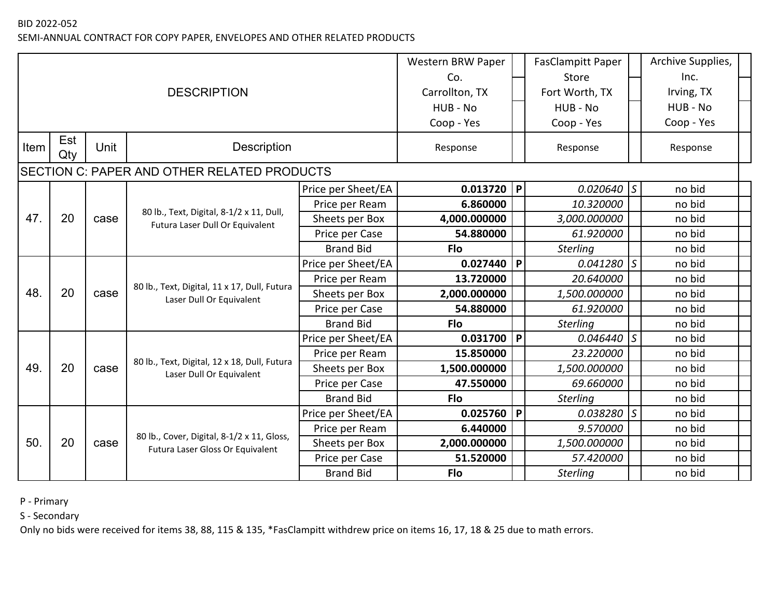SEMI-ANNUAL CONTRACT FOR COPY PAPER, ENVELOPES AND OTHER RELATED PRODUCTS

|                                             |            |                                                                                     |                                                                                |                    | Western BRW Paper |                 | <b>FasClampitt Paper</b> |               | Archive Supplies, |  |
|---------------------------------------------|------------|-------------------------------------------------------------------------------------|--------------------------------------------------------------------------------|--------------------|-------------------|-----------------|--------------------------|---------------|-------------------|--|
|                                             |            |                                                                                     |                                                                                |                    | Co.               |                 | Store                    |               | Inc.              |  |
|                                             |            |                                                                                     | <b>DESCRIPTION</b>                                                             |                    | Carrollton, TX    |                 | Fort Worth, TX           |               | Irving, TX        |  |
|                                             |            |                                                                                     |                                                                                |                    | HUB - No          |                 | HUB - No                 |               | HUB - No          |  |
|                                             |            |                                                                                     |                                                                                |                    | Coop - Yes        |                 | Coop - Yes               |               | Coop - Yes        |  |
| Item                                        | Est<br>Qty | Unit                                                                                | <b>Description</b>                                                             |                    | Response          |                 | Response                 |               | Response          |  |
| SECTION C: PAPER AND OTHER RELATED PRODUCTS |            |                                                                                     |                                                                                |                    |                   |                 |                          |               |                   |  |
|                                             |            |                                                                                     | Price per Sheet/EA                                                             | 0.013720           | P                 | $0.020640$ S    |                          | no bid        |                   |  |
|                                             |            |                                                                                     |                                                                                | Price per Ream     | 6.860000          |                 | 10.320000                |               | no bid            |  |
| 47.                                         | 20         | 80 lb., Text, Digital, 8-1/2 x 11, Dull,<br>case<br>Futura Laser Dull Or Equivalent | Sheets per Box                                                                 | 4,000.000000       |                   | 3,000.000000    |                          | no bid        |                   |  |
|                                             |            |                                                                                     | Price per Case                                                                 | 54.880000          |                   | 61.920000       |                          | no bid        |                   |  |
|                                             |            |                                                                                     | <b>Brand Bid</b>                                                               | <b>Flo</b>         |                   | <b>Sterling</b> |                          | no bid        |                   |  |
|                                             |            |                                                                                     | Price per Sheet/EA                                                             | 0.027440           | l P               | 0.041280        | $\mathcal{S}$            | no bid        |                   |  |
|                                             |            |                                                                                     | 80 lb., Text, Digital, 11 x 17, Dull, Futura<br>Laser Dull Or Equivalent       | Price per Ream     | 13.720000         |                 | 20.640000                |               | no bid            |  |
| 48.                                         | 20         | case                                                                                |                                                                                | Sheets per Box     | 2,000.000000      |                 | 1,500.000000             |               | no bid            |  |
|                                             |            |                                                                                     |                                                                                | Price per Case     | 54.880000         |                 | 61.920000                |               | no bid            |  |
|                                             |            |                                                                                     |                                                                                | <b>Brand Bid</b>   | <b>Flo</b>        |                 | <b>Sterling</b>          |               | no bid            |  |
|                                             |            |                                                                                     |                                                                                | Price per Sheet/EA | 0.031700          | P               | 0.046440                 | $\mathcal{S}$ | no bid            |  |
|                                             |            |                                                                                     |                                                                                | Price per Ream     | 15.850000         |                 | 23.220000                |               | no bid            |  |
| 49.                                         | 20         | case                                                                                | 80 lb., Text, Digital, 12 x 18, Dull, Futura<br>Laser Dull Or Equivalent       | Sheets per Box     | 1,500.000000      |                 | 1,500.000000             |               | no bid            |  |
|                                             |            |                                                                                     |                                                                                | Price per Case     | 47.550000         |                 | 69.660000                |               | no bid            |  |
|                                             |            |                                                                                     |                                                                                | <b>Brand Bid</b>   | <b>Flo</b>        |                 | <b>Sterling</b>          |               | no bid            |  |
|                                             |            |                                                                                     |                                                                                | Price per Sheet/EA | 0.025760          | P               | 0.038280                 | $\mathsf S$   | no bid            |  |
|                                             |            |                                                                                     |                                                                                | Price per Ream     | 6.440000          |                 | 9.570000                 |               | no bid            |  |
| 50.                                         | 20         | case                                                                                | 80 lb., Cover, Digital, 8-1/2 x 11, Gloss,<br>Futura Laser Gloss Or Equivalent | Sheets per Box     | 2,000.000000      |                 | 1,500.000000             |               | no bid            |  |
|                                             |            |                                                                                     |                                                                                | Price per Case     | 51.520000         |                 | 57.420000                |               | no bid            |  |
|                                             |            |                                                                                     |                                                                                | <b>Brand Bid</b>   | Flo               |                 | <b>Sterling</b>          |               | no bid            |  |

P - Primary

S - Secondary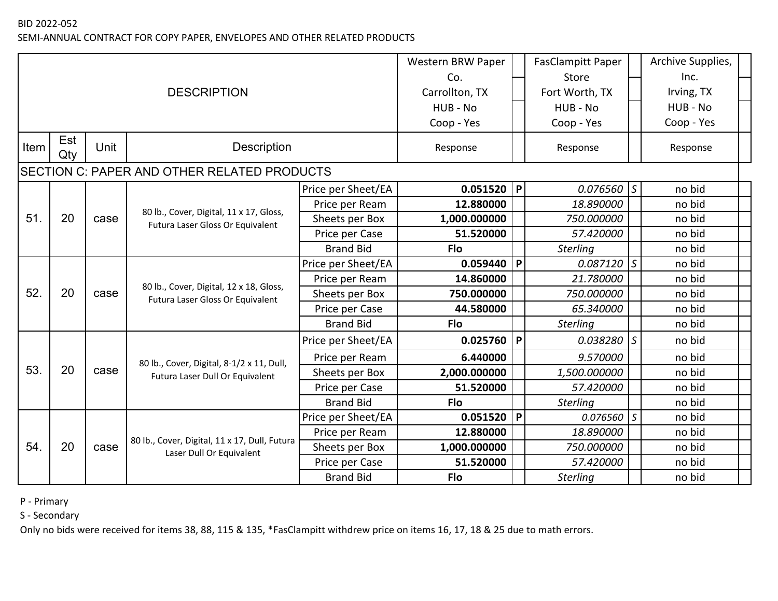SEMI-ANNUAL CONTRACT FOR COPY PAPER, ENVELOPES AND OTHER RELATED PRODUCTS

|      |            |      |                                                                             |                    | Western BRW Paper |              | <b>FasClampitt Paper</b> |              | Archive Supplies, |
|------|------------|------|-----------------------------------------------------------------------------|--------------------|-------------------|--------------|--------------------------|--------------|-------------------|
|      |            |      |                                                                             |                    | Co.               |              | Store                    |              | Inc.              |
|      |            |      | <b>DESCRIPTION</b>                                                          |                    | Carrollton, TX    |              | Fort Worth, TX           |              | Irving, TX        |
|      |            |      |                                                                             |                    | HUB - No          |              | HUB - No                 |              | HUB - No          |
|      |            |      |                                                                             |                    | Coop - Yes        |              | Coop - Yes               |              | Coop - Yes        |
| Item | Est<br>Qty | Unit | <b>Description</b>                                                          |                    | Response          |              | Response                 |              | Response          |
|      |            |      | SECTION C: PAPER AND OTHER RELATED PRODUCTS                                 |                    |                   |              |                          |              |                   |
|      |            |      |                                                                             | Price per Sheet/EA | 0.051520          | l P          | 0.076560                 | $\mathsf{S}$ | no bid            |
|      |            |      |                                                                             | Price per Ream     | 12.880000         |              | 18.890000                |              | no bid            |
| 51.  | 20         | case | 80 lb., Cover, Digital, 11 x 17, Gloss,<br>Futura Laser Gloss Or Equivalent | Sheets per Box     | 1,000.000000      |              | 750.000000               |              | no bid            |
|      |            |      |                                                                             | Price per Case     | 51.520000         |              | 57.420000                |              | no bid            |
|      |            |      |                                                                             | <b>Brand Bid</b>   | <b>Flo</b>        |              | <b>Sterling</b>          |              | no bid            |
|      |            |      |                                                                             | Price per Sheet/EA | $0.059440$   P    |              | $0.087120$ S             |              | no bid            |
|      |            |      |                                                                             | Price per Ream     | 14.860000         |              | 21.780000                |              | no bid            |
| 52.  | 20         | case | 80 lb., Cover, Digital, 12 x 18, Gloss,<br>Futura Laser Gloss Or Equivalent | Sheets per Box     | 750.000000        |              | 750.000000               |              | no bid            |
|      |            |      |                                                                             | Price per Case     | 44.580000         |              | 65.340000                |              | no bid            |
|      |            |      |                                                                             | <b>Brand Bid</b>   | <b>Flo</b>        |              | <b>Sterling</b>          |              | no bid            |
|      |            |      |                                                                             | Price per Sheet/EA | 0.025760          | $\mathsf{P}$ | 0.038280                 | $\mathsf S$  | no bid            |
|      |            |      | 80 lb., Cover, Digital, 8-1/2 x 11, Dull,                                   | Price per Ream     | 6.440000          |              | 9.570000                 |              | no bid            |
| 53.  | 20         | case | Futura Laser Dull Or Equivalent                                             | Sheets per Box     | 2,000.000000      |              | 1,500.000000             |              | no bid            |
|      |            |      |                                                                             | Price per Case     | 51.520000         |              | 57.420000                |              | no bid            |
|      |            |      |                                                                             | <b>Brand Bid</b>   | <b>Flo</b>        |              | <b>Sterling</b>          |              | no bid            |
|      |            |      |                                                                             | Price per Sheet/EA | $0.051520$   P    |              | $0.076560$ S             |              | no bid            |
|      |            |      |                                                                             | Price per Ream     | 12.880000         |              | 18.890000                |              | no bid            |
| 54.  | 20         | case | 80 lb., Cover, Digital, 11 x 17, Dull, Futura<br>Laser Dull Or Equivalent   | Sheets per Box     | 1,000.000000      |              | 750.000000               |              | no bid            |
|      |            |      |                                                                             | Price per Case     | 51.520000         |              | 57.420000                |              | no bid            |
|      |            |      |                                                                             | <b>Brand Bid</b>   | Flo               |              | <b>Sterling</b>          |              | no bid            |

P - Primary

S - Secondary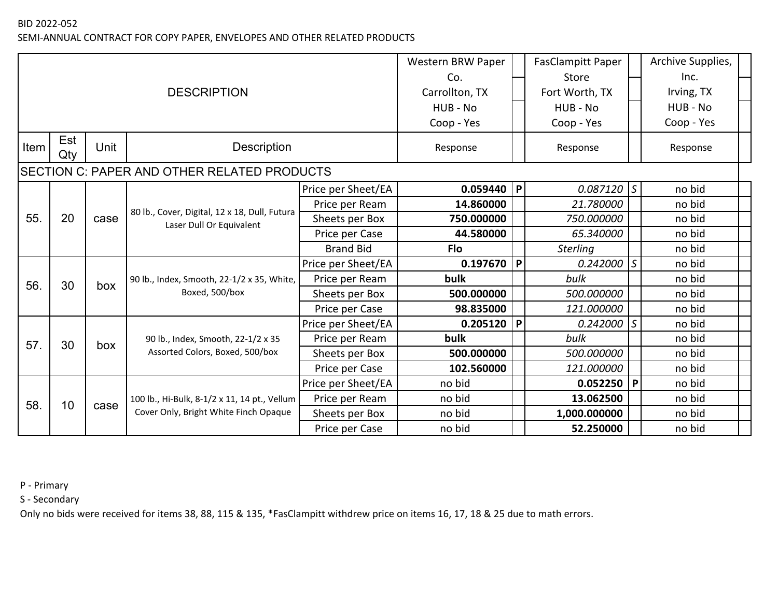SEMI-ANNUAL CONTRACT FOR COPY PAPER, ENVELOPES AND OTHER RELATED PRODUCTS

|      |            |      |                                                                           |                    | Western BRW Paper |              | <b>FasClampitt Paper</b> |               | Archive Supplies, |
|------|------------|------|---------------------------------------------------------------------------|--------------------|-------------------|--------------|--------------------------|---------------|-------------------|
|      |            |      |                                                                           |                    | Co.               |              | Store                    |               | Inc.              |
|      |            |      | <b>DESCRIPTION</b>                                                        |                    | Carrollton, TX    |              | Fort Worth, TX           |               | Irving, TX        |
|      |            |      |                                                                           |                    | HUB - No          |              | HUB - No                 |               | HUB - No          |
|      |            |      |                                                                           |                    | Coop - Yes        |              | Coop - Yes               |               | Coop - Yes        |
| Item | Est<br>Qty | Unit | Description                                                               |                    | Response          |              | Response                 |               | Response          |
|      |            |      | SECTION C: PAPER AND OTHER RELATED PRODUCTS                               |                    |                   |              |                          |               |                   |
|      |            |      |                                                                           | Price per Sheet/EA | 0.059440          | P            | $0.087120$ S             |               | no bid            |
|      |            |      |                                                                           | Price per Ream     | 14.860000         |              | 21.780000                |               | no bid            |
| 55.  | 20         | case | 80 lb., Cover, Digital, 12 x 18, Dull, Futura<br>Laser Dull Or Equivalent | Sheets per Box     | 750.000000        |              | 750.000000               |               | no bid            |
|      |            |      |                                                                           | Price per Case     | 44.580000         |              | 65.340000                |               | no bid            |
|      |            |      |                                                                           | <b>Brand Bid</b>   | <b>Flo</b>        |              | <b>Sterling</b>          |               | no bid            |
|      |            |      |                                                                           | Price per Sheet/EA | 0.197670          | $\mathsf{P}$ | 0.242000                 | $\mathcal{S}$ | no bid            |
| 56.  | 30         | box  | 90 lb., Index, Smooth, 22-1/2 x 35, White,                                | Price per Ream     | bulk              |              | bulk                     |               | no bid            |
|      |            |      | Boxed, 500/box                                                            | Sheets per Box     | 500.000000        |              | 500.000000               |               | no bid            |
|      |            |      |                                                                           | Price per Case     | 98.835000         |              | 121.000000               |               | no bid            |
|      |            |      |                                                                           | Price per Sheet/EA | 0.205120          | $\mathsf{P}$ | $0.242000$ S             |               | no bid            |
| 57.  | 30         | box  | 90 lb., Index, Smooth, 22-1/2 x 35                                        | Price per Ream     | bulk              |              | bulk                     |               | no bid            |
|      |            |      | Assorted Colors, Boxed, 500/box                                           | Sheets per Box     | 500.000000        |              | 500.000000               |               | no bid            |
|      |            |      |                                                                           | Price per Case     | 102.560000        |              | 121.000000               |               | no bid            |
|      |            |      |                                                                           | Price per Sheet/EA | no bid            |              | 0.052250                 | P             | no bid            |
| 58.  | 10         | case | 100 lb., Hi-Bulk, 8-1/2 x 11, 14 pt., Vellum                              | Price per Ream     | no bid            |              | 13.062500                |               | no bid            |
|      |            |      | Cover Only, Bright White Finch Opaque                                     | Sheets per Box     | no bid            |              | 1,000.000000             |               | no bid            |
|      |            |      |                                                                           | Price per Case     | no bid            |              | 52.250000                |               | no bid            |

P - Primary

S - Secondary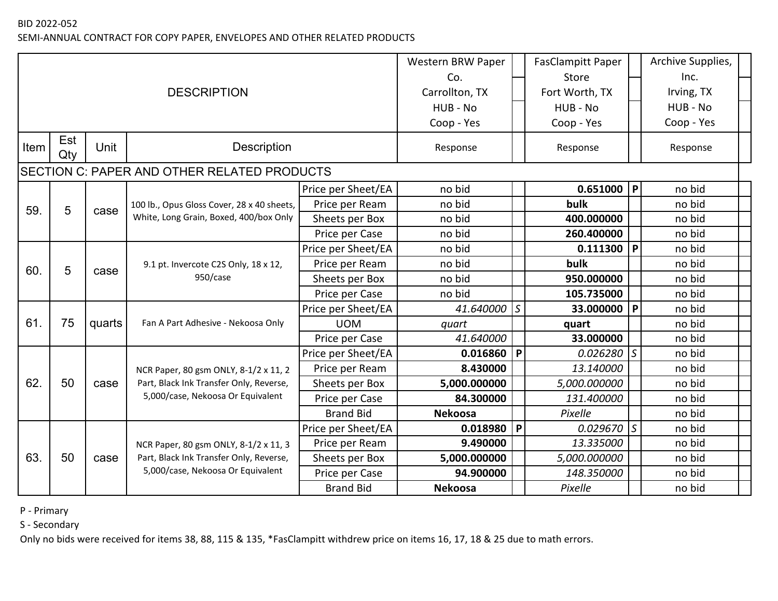SEMI-ANNUAL CONTRACT FOR COPY PAPER, ENVELOPES AND OTHER RELATED PRODUCTS

|      |            |        |                                                    |                    | Western BRW Paper |     | <b>FasClampitt Paper</b> |               | Archive Supplies, |
|------|------------|--------|----------------------------------------------------|--------------------|-------------------|-----|--------------------------|---------------|-------------------|
|      |            |        |                                                    |                    | Co.               |     | Store                    |               | Inc.              |
|      |            |        | <b>DESCRIPTION</b>                                 |                    | Carrollton, TX    |     | Fort Worth, TX           |               | Irving, TX        |
|      |            |        |                                                    |                    | HUB - No          |     | HUB - No                 |               | HUB - No          |
|      |            |        |                                                    |                    | Coop - Yes        |     | Coop - Yes               |               | Coop - Yes        |
| Item | Est<br>Qty | Unit   | <b>Description</b>                                 |                    | Response          |     | Response                 |               | Response          |
|      |            |        | <b>SECTION C: PAPER AND OTHER RELATED PRODUCTS</b> |                    |                   |     |                          |               |                   |
|      |            |        |                                                    | Price per Sheet/EA | no bid            |     | 0.651000                 | $\mathsf{P}$  | no bid            |
| 59.  | 5          | case   | 100 lb., Opus Gloss Cover, 28 x 40 sheets,         | Price per Ream     | no bid            |     | bulk                     |               | no bid            |
|      |            |        | White, Long Grain, Boxed, 400/box Only             | Sheets per Box     | no bid            |     | 400.000000               |               | no bid            |
|      |            |        |                                                    | Price per Case     | no bid            |     | 260.400000               |               | no bid            |
|      |            |        |                                                    | Price per Sheet/EA | no bid            |     | 0.111300                 | P             | no bid            |
| 60.  | 5          | case   | 9.1 pt. Invercote C2S Only, 18 x 12,               | Price per Ream     | no bid            |     | bulk                     |               | no bid            |
|      |            |        | 950/case                                           | Sheets per Box     | no bid            |     | 950.000000               |               | no bid            |
|      |            |        |                                                    | Price per Case     | no bid            |     | 105.735000               |               | no bid            |
|      |            |        |                                                    | Price per Sheet/EA | 41.640000         | ls. | 33.000000                | $\mathsf{P}$  | no bid            |
| 61.  | 75         | quarts | Fan A Part Adhesive - Nekoosa Only                 | <b>UOM</b>         | quart             |     | quart                    |               | no bid            |
|      |            |        |                                                    | Price per Case     | 41.640000         |     | 33.000000                |               | no bid            |
|      |            |        |                                                    | Price per Sheet/EA | 0.016860          | l P | 0.026280                 | $\mathcal{S}$ | no bid            |
|      |            |        | NCR Paper, 80 gsm ONLY, 8-1/2 x 11, 2              | Price per Ream     | 8.430000          |     | 13.140000                |               | no bid            |
| 62.  | 50         | case   | Part, Black Ink Transfer Only, Reverse,            | Sheets per Box     | 5,000.000000      |     | 5,000.000000             |               | no bid            |
|      |            |        | 5,000/case, Nekoosa Or Equivalent                  | Price per Case     | 84.300000         |     | 131.400000               |               | no bid            |
|      |            |        |                                                    | <b>Brand Bid</b>   | <b>Nekoosa</b>    |     | Pixelle                  |               | no bid            |
|      |            |        |                                                    | Price per Sheet/EA | 0.018980          | P   | 0.029670                 | $\mathcal{S}$ | no bid            |
|      |            |        | NCR Paper, 80 gsm ONLY, 8-1/2 x 11, 3              | Price per Ream     | 9.490000          |     | 13.335000                |               | no bid            |
| 63.  | 50         | case   | Part, Black Ink Transfer Only, Reverse,            | Sheets per Box     | 5,000.000000      |     | 5,000.000000             |               | no bid            |
|      |            |        | 5,000/case, Nekoosa Or Equivalent                  | Price per Case     | 94.900000         |     | 148.350000               |               | no bid            |
|      |            |        |                                                    | <b>Brand Bid</b>   | <b>Nekoosa</b>    |     | Pixelle                  |               | no bid            |

P - Primary

S - Secondary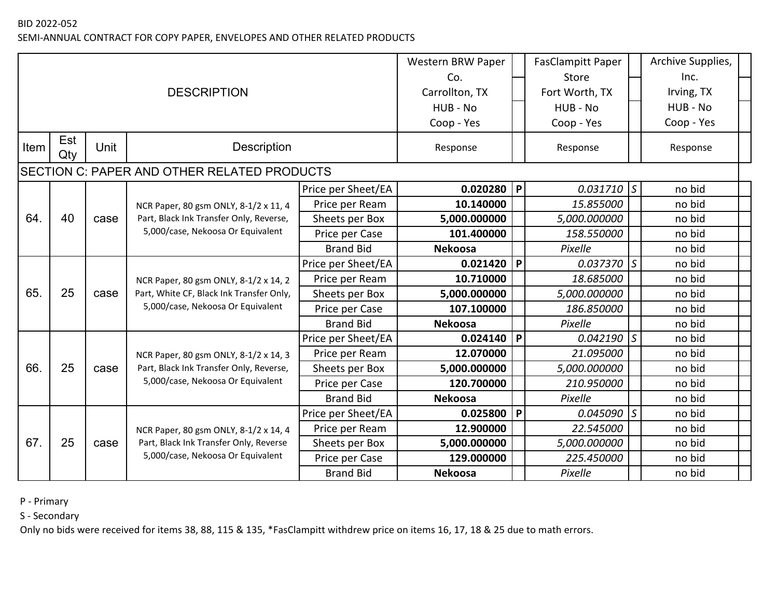SEMI-ANNUAL CONTRACT FOR COPY PAPER, ENVELOPES AND OTHER RELATED PRODUCTS

|      |            |      |                                             |                    | Western BRW Paper |              | <b>FasClampitt Paper</b> |               | Archive Supplies, |
|------|------------|------|---------------------------------------------|--------------------|-------------------|--------------|--------------------------|---------------|-------------------|
|      |            |      |                                             |                    | Co.               |              | Store                    |               | Inc.              |
|      |            |      | <b>DESCRIPTION</b>                          |                    | Carrollton, TX    |              | Fort Worth, TX           |               | Irving, TX        |
|      |            |      |                                             |                    | HUB - No          |              | HUB - No                 |               | HUB - No          |
|      |            |      |                                             |                    | Coop - Yes        |              | Coop - Yes               |               | Coop - Yes        |
| Item | Est<br>Qty | Unit | <b>Description</b>                          |                    | Response          |              | Response                 |               | Response          |
|      |            |      | SECTION C: PAPER AND OTHER RELATED PRODUCTS |                    |                   |              |                          |               |                   |
|      |            |      |                                             |                    |                   |              |                          |               |                   |
|      |            |      |                                             | Price per Sheet/EA | 0.020280          | $\mathsf{P}$ | $0.031710$ S             |               | no bid            |
|      |            |      | NCR Paper, 80 gsm ONLY, 8-1/2 x 11, 4       | Price per Ream     | 10.140000         |              | 15.855000                |               | no bid            |
| 64.  | 40         | case | Part, Black Ink Transfer Only, Reverse,     | Sheets per Box     | 5,000.000000      |              | 5,000.000000             |               | no bid            |
|      |            |      | 5,000/case, Nekoosa Or Equivalent           | Price per Case     | 101.400000        |              | 158.550000               |               | no bid            |
|      |            |      |                                             | <b>Brand Bid</b>   | <b>Nekoosa</b>    |              | Pixelle                  |               | no bid            |
|      |            |      |                                             | Price per Sheet/EA | 0.021420          | $\mathsf{P}$ | $0.037370$ S             |               | no bid            |
|      |            |      | NCR Paper, 80 gsm ONLY, 8-1/2 x 14, 2       | Price per Ream     | 10.710000         |              | 18.685000                |               | no bid            |
| 65.  | 25         | case | Part, White CF, Black Ink Transfer Only,    | Sheets per Box     | 5,000.000000      |              | 5,000.000000             |               | no bid            |
|      |            |      | 5,000/case, Nekoosa Or Equivalent           | Price per Case     | 107.100000        |              | 186.850000               |               | no bid            |
|      |            |      |                                             | <b>Brand Bid</b>   | <b>Nekoosa</b>    |              | Pixelle                  |               | no bid            |
|      |            |      |                                             | Price per Sheet/EA | 0.024140          | $\mathsf{P}$ | 0.042190                 | $\mathcal{S}$ | no bid            |
|      |            |      | NCR Paper, 80 gsm ONLY, 8-1/2 x 14, 3       | Price per Ream     | 12.070000         |              | 21.095000                |               | no bid            |
| 66.  | 25         | case | Part, Black Ink Transfer Only, Reverse,     | Sheets per Box     | 5,000.000000      |              | 5,000.000000             |               | no bid            |
|      |            |      | 5,000/case, Nekoosa Or Equivalent           | Price per Case     | 120.700000        |              | 210.950000               |               | no bid            |
|      |            |      |                                             | <b>Brand Bid</b>   | <b>Nekoosa</b>    |              | Pixelle                  |               | no bid            |
|      |            |      |                                             | Price per Sheet/EA | 0.025800          | $\mathsf{P}$ | $0.045090$ S             |               | no bid            |
|      |            |      | NCR Paper, 80 gsm ONLY, 8-1/2 x 14, 4       | Price per Ream     | 12.900000         |              | 22.545000                |               | no bid            |
| 67.  | 25         | case | Part, Black Ink Transfer Only, Reverse      | Sheets per Box     | 5,000.000000      |              | 5,000.000000             |               | no bid            |
|      |            |      | 5,000/case, Nekoosa Or Equivalent           | Price per Case     | 129.000000        |              | 225.450000               |               | no bid            |
|      |            |      |                                             | <b>Brand Bid</b>   | <b>Nekoosa</b>    |              | Pixelle                  |               | no bid            |

P - Primary

S - Secondary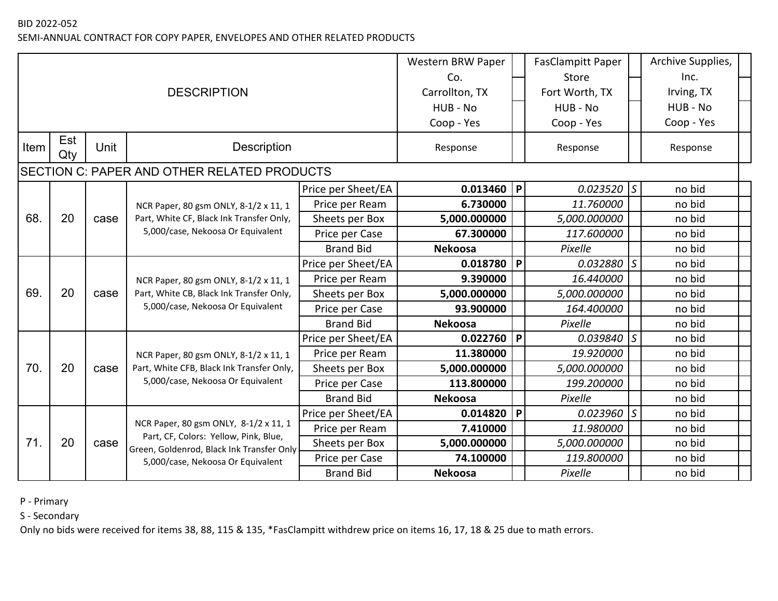SEMI-ANNUAL CONTRACT FOR COPY PAPER, ENVELOPES AND OTHER RELATED PRODUCTS

|      |            |      |                                                                                |                    | Western BRW Paper |                | <b>FasClampitt Paper</b> |               | Archive Supplies, |  |
|------|------------|------|--------------------------------------------------------------------------------|--------------------|-------------------|----------------|--------------------------|---------------|-------------------|--|
|      |            |      |                                                                                |                    | Co.               |                | Store                    |               | Inc.              |  |
|      |            |      | <b>DESCRIPTION</b>                                                             |                    | Carrollton, TX    |                | Fort Worth, TX           |               | Irving, TX        |  |
|      |            |      |                                                                                |                    | HUB - No          |                | HUB - No                 |               | HUB - No          |  |
|      |            |      |                                                                                |                    | Coop - Yes        |                | Coop - Yes               |               | Coop - Yes        |  |
| Item | Est<br>Qty | Unit | <b>Description</b>                                                             |                    | Response          |                | Response                 |               | Response          |  |
|      |            |      | <b>SECTION C: PAPER AND OTHER RELATED PRODUCTS</b>                             |                    |                   |                |                          |               |                   |  |
|      |            |      |                                                                                | Price per Sheet/EA | 0.013460          | P              | $0.023520$ S             |               | no bid            |  |
|      |            |      | NCR Paper, 80 gsm ONLY, 8-1/2 x 11, 1                                          | Price per Ream     | 6.730000          |                | 11.760000                |               | no bid            |  |
| 68.  | 20         | case | Part, White CF, Black Ink Transfer Only,                                       | Sheets per Box     | 5,000.000000      |                | 5,000.000000             |               | no bid            |  |
|      |            |      | 5,000/case, Nekoosa Or Equivalent                                              | Price per Case     | 67.300000         |                | 117.600000               |               | no bid            |  |
|      |            |      |                                                                                | <b>Brand Bid</b>   | <b>Nekoosa</b>    |                | Pixelle                  |               | no bid            |  |
|      |            |      |                                                                                | Price per Sheet/EA | 0.018780          | $\overline{P}$ | $0.032880$ S             |               | no bid            |  |
|      |            |      | NCR Paper, 80 gsm ONLY, 8-1/2 x 11, 1                                          | Price per Ream     | 9.390000          |                | 16.440000                |               | no bid            |  |
| 69.  | 20         | case | Part, White CB, Black Ink Transfer Only,                                       | Sheets per Box     | 5,000.000000      |                | 5,000.000000             |               | no bid            |  |
|      |            |      | 5,000/case, Nekoosa Or Equivalent                                              | Price per Case     | 93.900000         |                | 164.400000               |               | no bid            |  |
|      |            |      |                                                                                | <b>Brand Bid</b>   | <b>Nekoosa</b>    |                | Pixelle                  |               | no bid            |  |
|      |            |      |                                                                                | Price per Sheet/EA | 0.022760          | $\mathsf{P}$   | 0.039840                 | $\mathcal{S}$ | no bid            |  |
|      |            |      | NCR Paper, 80 gsm ONLY, 8-1/2 x 11, 1                                          | Price per Ream     | 11.380000         |                | 19.920000                |               | no bid            |  |
| 70.  | 20         | case | Part, White CFB, Black Ink Transfer Only,                                      | Sheets per Box     | 5,000.000000      |                | 5,000.000000             |               | no bid            |  |
|      |            |      | 5,000/case, Nekoosa Or Equivalent                                              | Price per Case     | 113.800000        |                | 199.200000               |               | no bid            |  |
|      |            |      |                                                                                | <b>Brand Bid</b>   | <b>Nekoosa</b>    |                | Pixelle                  |               | no bid            |  |
|      |            |      |                                                                                | Price per Sheet/EA | 0.014820          | P              | 0.023960                 | $\mathsf S$   | no bid            |  |
|      |            |      | NCR Paper, 80 gsm ONLY, 8-1/2 x 11, 1<br>Part, CF, Colors: Yellow, Pink, Blue, | Price per Ream     | 7.410000          |                | 11.980000                |               | no bid            |  |
| 71.  | 20         | case | Green, Goldenrod, Black Ink Transfer Only                                      | Sheets per Box     | 5,000.000000      |                | 5,000.000000             |               | no bid            |  |
|      |            |      | 5,000/case, Nekoosa Or Equivalent                                              | Price per Case     | 74.100000         |                | 119.800000               |               | no bid            |  |
|      |            |      |                                                                                | <b>Brand Bid</b>   | <b>Nekoosa</b>    |                | Pixelle                  |               | no bid            |  |

P - Primary

S - Secondary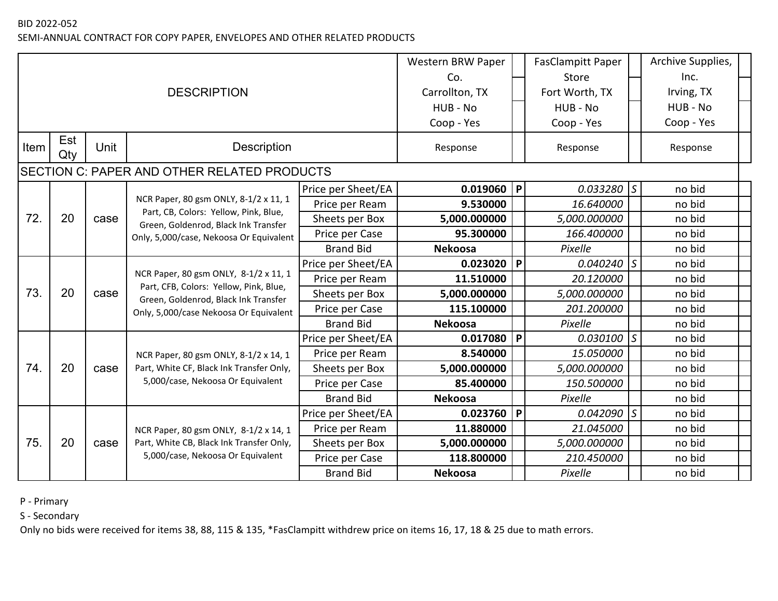SEMI-ANNUAL CONTRACT FOR COPY PAPER, ENVELOPES AND OTHER RELATED PRODUCTS

|      |            |      |                                                                                 |                    | Western BRW Paper |                | <b>FasClampitt Paper</b> |               | Archive Supplies, |  |
|------|------------|------|---------------------------------------------------------------------------------|--------------------|-------------------|----------------|--------------------------|---------------|-------------------|--|
|      |            |      |                                                                                 |                    | Co.               |                | Store                    |               | Inc.              |  |
|      |            |      | <b>DESCRIPTION</b>                                                              |                    | Carrollton, TX    |                | Fort Worth, TX           |               | Irving, TX        |  |
|      |            |      |                                                                                 |                    | HUB - No          |                | HUB - No                 |               | HUB - No          |  |
|      |            |      |                                                                                 |                    | Coop - Yes        |                | Coop - Yes               |               | Coop - Yes        |  |
| Item | Est<br>Qty | Unit | <b>Description</b>                                                              |                    | Response          |                | Response                 |               | Response          |  |
|      |            |      | <b>SECTION C: PAPER AND OTHER RELATED PRODUCTS</b>                              |                    |                   |                |                          |               |                   |  |
|      |            |      |                                                                                 | Price per Sheet/EA | 0.019060          | P              | $0.033280$ S             |               | no bid            |  |
|      |            |      | NCR Paper, 80 gsm ONLY, 8-1/2 x 11, 1                                           | Price per Ream     | 9.530000          |                | 16.640000                |               | no bid            |  |
| 72.  | 20         | case | Part, CB, Colors: Yellow, Pink, Blue,<br>Green, Goldenrod, Black Ink Transfer   | Sheets per Box     | 5,000.000000      |                | 5,000.000000             |               | no bid            |  |
|      |            |      | Only, 5,000/case, Nekoosa Or Equivalent                                         | Price per Case     | 95.300000         |                | 166.400000               |               | no bid            |  |
|      |            |      |                                                                                 | <b>Brand Bid</b>   | <b>Nekoosa</b>    |                | Pixelle                  |               | no bid            |  |
|      |            |      |                                                                                 | Price per Sheet/EA | 0.023020          | $\overline{P}$ | $0.040240$ S             |               | no bid            |  |
|      |            |      | NCR Paper, 80 gsm ONLY, 8-1/2 x 11, 1<br>Part, CFB, Colors: Yellow, Pink, Blue, | Price per Ream     | 11.510000         |                | 20.120000                |               | no bid            |  |
| 73.  | 20         | case | Green, Goldenrod, Black Ink Transfer                                            | Sheets per Box     | 5,000.000000      |                | 5,000.000000             |               | no bid            |  |
|      |            |      | Only, 5,000/case Nekoosa Or Equivalent                                          | Price per Case     | 115.100000        |                | 201.200000               |               | no bid            |  |
|      |            |      |                                                                                 | <b>Brand Bid</b>   | <b>Nekoosa</b>    |                | Pixelle                  |               | no bid            |  |
|      |            |      |                                                                                 | Price per Sheet/EA | 0.017080          | P              | 0.030100                 | $\mathcal{S}$ | no bid            |  |
|      |            |      | NCR Paper, 80 gsm ONLY, 8-1/2 x 14, 1                                           | Price per Ream     | 8.540000          |                | 15.050000                |               | no bid            |  |
| 74.  | 20         | case | Part, White CF, Black Ink Transfer Only,                                        | Sheets per Box     | 5,000.000000      |                | 5,000.000000             |               | no bid            |  |
|      |            |      | 5,000/case, Nekoosa Or Equivalent                                               | Price per Case     | 85.400000         |                | 150.500000               |               | no bid            |  |
|      |            |      |                                                                                 | <b>Brand Bid</b>   | <b>Nekoosa</b>    |                | Pixelle                  |               | no bid            |  |
|      |            |      |                                                                                 | Price per Sheet/EA | 0.023760          | $\mathsf{P}$   | 0.042090                 | $\mathcal{S}$ | no bid            |  |
|      |            |      | NCR Paper, 80 gsm ONLY, 8-1/2 x 14, 1                                           | Price per Ream     | 11.880000         |                | 21.045000                |               | no bid            |  |
| 75.  | 20         | case | Part, White CB, Black Ink Transfer Only,                                        | Sheets per Box     | 5,000.000000      |                | 5,000.000000             |               | no bid            |  |
|      |            |      | 5,000/case, Nekoosa Or Equivalent                                               | Price per Case     | 118.800000        |                | 210.450000               |               | no bid            |  |
|      |            |      |                                                                                 | <b>Brand Bid</b>   | <b>Nekoosa</b>    |                | Pixelle                  |               | no bid            |  |

P - Primary

S - Secondary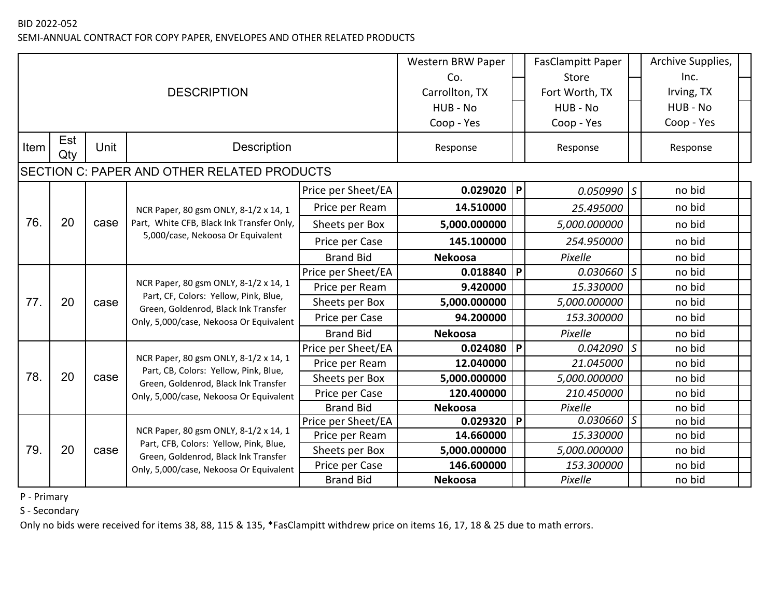SEMI-ANNUAL CONTRACT FOR COPY PAPER, ENVELOPES AND OTHER RELATED PRODUCTS

|      |            |      |                                                                                |                    | Western BRW Paper |              | <b>FasClampitt Paper</b> |               | Archive Supplies, |
|------|------------|------|--------------------------------------------------------------------------------|--------------------|-------------------|--------------|--------------------------|---------------|-------------------|
|      |            |      |                                                                                |                    | Co.               |              | Store                    |               | Inc.              |
|      |            |      | <b>DESCRIPTION</b>                                                             |                    | Carrollton, TX    |              | Fort Worth, TX           |               | Irving, TX        |
|      |            |      |                                                                                |                    | HUB - No          |              | HUB - No                 |               | HUB - No          |
|      |            |      |                                                                                |                    | Coop - Yes        |              | Coop - Yes               |               | Coop - Yes        |
| Item | Est<br>Qty | Unit | <b>Description</b>                                                             |                    | Response          |              | Response                 |               | Response          |
|      |            |      | SECTION C: PAPER AND OTHER RELATED PRODUCTS                                    |                    |                   |              |                          |               |                   |
|      |            |      |                                                                                | Price per Sheet/EA | 0.029020          | P            | $0.050990$ S             |               | no bid            |
|      |            |      | NCR Paper, 80 gsm ONLY, 8-1/2 x 14, 1                                          | Price per Ream     | 14.510000         |              | 25.495000                |               | no bid            |
| 76.  | 20         | case | Part, White CFB, Black Ink Transfer Only,                                      | Sheets per Box     | 5,000.000000      |              | 5,000.000000             |               | no bid            |
|      |            |      | 5,000/case, Nekoosa Or Equivalent                                              | Price per Case     | 145.100000        |              | 254.950000               |               | no bid            |
|      |            |      |                                                                                | <b>Brand Bid</b>   | <b>Nekoosa</b>    |              | Pixelle                  |               | no bid            |
|      |            |      |                                                                                | Price per Sheet/EA | 0.018840          | P            | 0.030660                 | $\mathcal{S}$ | no bid            |
|      |            |      | NCR Paper, 80 gsm ONLY, 8-1/2 x 14, 1                                          | Price per Ream     | 9.420000          |              | 15.330000                |               | no bid            |
| 77.  | 20         | case | Part, CF, Colors: Yellow, Pink, Blue,<br>Green, Goldenrod, Black Ink Transfer  | Sheets per Box     | 5,000.000000      |              | 5,000.000000             |               | no bid            |
|      |            |      | Only, 5,000/case, Nekoosa Or Equivalent                                        | Price per Case     | 94.200000         |              | 153.300000               |               | no bid            |
|      |            |      |                                                                                | <b>Brand Bid</b>   | <b>Nekoosa</b>    |              | Pixelle                  |               | no bid            |
|      |            |      |                                                                                | Price per Sheet/EA | 0.024080          | $\mathsf{P}$ | $0.042090$ S             |               | no bid            |
|      |            |      | NCR Paper, 80 gsm ONLY, 8-1/2 x 14, 1<br>Part, CB, Colors: Yellow, Pink, Blue, | Price per Ream     | 12.040000         |              | 21.045000                |               | no bid            |
| 78.  | 20         | case | Green, Goldenrod, Black Ink Transfer                                           | Sheets per Box     | 5,000.000000      |              | 5,000.000000             |               | no bid            |
|      |            |      | Only, 5,000/case, Nekoosa Or Equivalent                                        | Price per Case     | 120.400000        |              | 210.450000               |               | no bid            |
|      |            |      |                                                                                | <b>Brand Bid</b>   | <b>Nekoosa</b>    |              | Pixelle                  |               | no bid            |
|      |            |      | NCR Paper, 80 gsm ONLY, 8-1/2 x 14, 1                                          | Price per Sheet/EA | 0.029320          | P            | $0.030660$ S             |               | no bid            |
|      |            |      | Part, CFB, Colors: Yellow, Pink, Blue,                                         | Price per Ream     | 14.660000         |              | 15.330000                |               | no bid            |
| 79.  | 20         | case | Green, Goldenrod, Black Ink Transfer                                           | Sheets per Box     | 5,000.000000      |              | 5,000.000000             |               | no bid            |
|      |            |      | Only, 5,000/case, Nekoosa Or Equivalent                                        | Price per Case     | 146.600000        |              | 153.300000               |               | no bid            |
|      |            |      |                                                                                | <b>Brand Bid</b>   | <b>Nekoosa</b>    |              | Pixelle                  |               | no bid            |

P - Primary

S - Secondary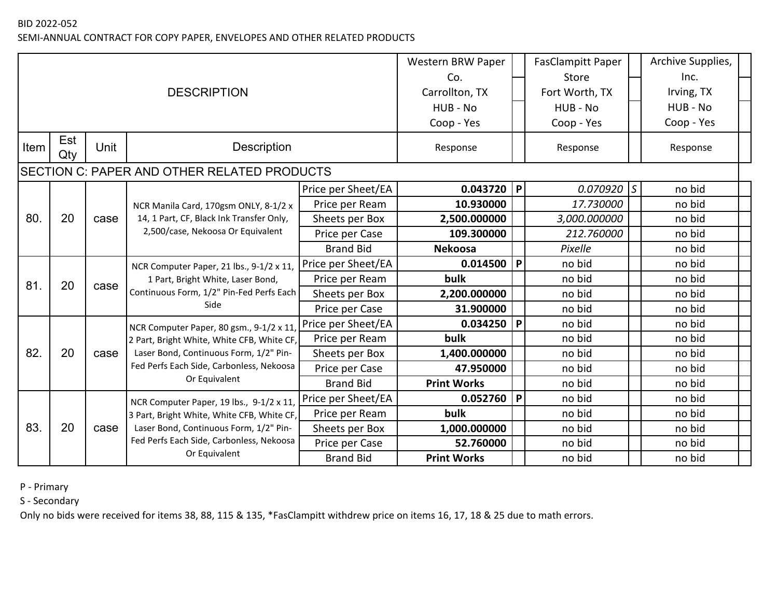SEMI-ANNUAL CONTRACT FOR COPY PAPER, ENVELOPES AND OTHER RELATED PRODUCTS

|      | <b>DESCRIPTION</b> |      |                                                                                                                                                                                               |                                                                                              | Western BRW Paper<br>Co.<br>Carrollton, TX<br>HUB - No              |              | <b>FasClampitt Paper</b><br>Store<br>Fort Worth, TX<br>HUB - No | Archive Supplies,<br>Inc.<br>Irving, TX<br>HUB - No |
|------|--------------------|------|-----------------------------------------------------------------------------------------------------------------------------------------------------------------------------------------------|----------------------------------------------------------------------------------------------|---------------------------------------------------------------------|--------------|-----------------------------------------------------------------|-----------------------------------------------------|
| Item | Est<br>Qty         | Unit | <b>Description</b>                                                                                                                                                                            |                                                                                              | Coop - Yes<br>Response                                              |              | Coop - Yes<br>Response                                          | Coop - Yes<br>Response                              |
|      |                    |      | SECTION C: PAPER AND OTHER RELATED PRODUCTS                                                                                                                                                   |                                                                                              |                                                                     |              |                                                                 |                                                     |
|      |                    |      |                                                                                                                                                                                               | Price per Sheet/EA                                                                           | 0.043720                                                            | P            | $0.070920$ S                                                    | no bid                                              |
| 80.  | 20                 | case | NCR Manila Card, 170gsm ONLY, 8-1/2 x<br>14, 1 Part, CF, Black Ink Transfer Only,<br>2,500/case, Nekoosa Or Equivalent                                                                        | Price per Ream<br>Sheets per Box<br>Price per Case                                           | 10.930000<br>2,500.000000<br>109.300000                             |              | 17.730000<br>3,000.000000<br>212.760000                         | no bid<br>no bid<br>no bid                          |
|      |                    |      |                                                                                                                                                                                               | <b>Brand Bid</b>                                                                             | <b>Nekoosa</b><br>0.014500                                          | P            | Pixelle<br>no bid                                               | no bid<br>no bid                                    |
| 81.  | 20                 | case | NCR Computer Paper, 21 lbs., 9-1/2 x 11,<br>1 Part, Bright White, Laser Bond,<br>Continuous Form, 1/2" Pin-Fed Perfs Each<br>Side                                                             | Price per Sheet/EA<br>Price per Ream<br>Sheets per Box<br>Price per Case                     | bulk<br>2,200.000000<br>31.900000                                   |              | no bid<br>no bid<br>no bid                                      | no bid<br>no bid<br>no bid                          |
| 82.  | 20                 | case | NCR Computer Paper, 80 gsm., 9-1/2 x 11,<br>2 Part, Bright White, White CFB, White CF,<br>Laser Bond, Continuous Form, 1/2" Pin-<br>Fed Perfs Each Side, Carbonless, Nekoosa<br>Or Equivalent | Price per Sheet/EA<br>Price per Ream<br>Sheets per Box<br>Price per Case<br><b>Brand Bid</b> | 0.034250<br>bulk<br>1,400.000000<br>47.950000<br><b>Print Works</b> | P            | no bid<br>no bid<br>no bid<br>no bid<br>no bid                  | no bid<br>no bid<br>no bid<br>no bid<br>no bid      |
| 83.  | 20                 | case | NCR Computer Paper, 19 lbs., 9-1/2 x 11,<br>3 Part, Bright White, White CFB, White CF,<br>Laser Bond, Continuous Form, 1/2" Pin-<br>Fed Perfs Each Side, Carbonless, Nekoosa<br>Or Equivalent | Price per Sheet/EA<br>Price per Ream<br>Sheets per Box<br>Price per Case<br><b>Brand Bid</b> | 0.052760<br>bulk<br>1,000.000000<br>52.760000<br><b>Print Works</b> | $\mathsf{P}$ | no bid<br>no bid<br>no bid<br>no bid<br>no bid                  | no bid<br>no bid<br>no bid<br>no bid<br>no bid      |

P - Primary

S - Secondary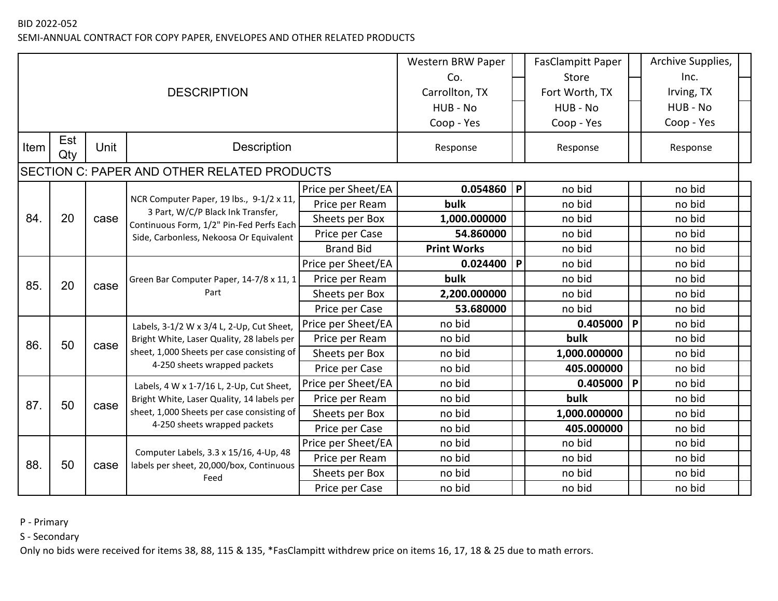SEMI-ANNUAL CONTRACT FOR COPY PAPER, ENVELOPES AND OTHER RELATED PRODUCTS

|      |            |      |                                                                                    | <b>FasClampitt Paper</b> |                    | Archive Supplies, |                |   |            |
|------|------------|------|------------------------------------------------------------------------------------|--------------------------|--------------------|-------------------|----------------|---|------------|
|      |            |      |                                                                                    |                          | Co.                |                   | Store          |   | Inc.       |
|      |            |      | <b>DESCRIPTION</b>                                                                 |                          | Carrollton, TX     |                   | Fort Worth, TX |   | Irving, TX |
|      |            |      |                                                                                    |                          | HUB - No           |                   | HUB - No       |   | HUB - No   |
|      |            |      |                                                                                    |                          | Coop - Yes         |                   | Coop - Yes     |   | Coop - Yes |
| Item | Est<br>Qty | Unit | <b>Description</b>                                                                 |                          | Response           |                   | Response       |   | Response   |
|      |            |      | SECTION C: PAPER AND OTHER RELATED PRODUCTS                                        |                          |                    |                   |                |   |            |
|      |            |      |                                                                                    | Price per Sheet/EA       | 0.054860           | P                 | no bid         |   | no bid     |
|      |            |      | NCR Computer Paper, 19 lbs., 9-1/2 x 11,                                           | Price per Ream           | bulk               |                   | no bid         |   | no bid     |
| 84.  | 20         | case | 3 Part, W/C/P Black Ink Transfer,<br>Continuous Form, 1/2" Pin-Fed Perfs Each      | Sheets per Box           | 1,000.000000       |                   | no bid         |   | no bid     |
|      |            |      | Side, Carbonless, Nekoosa Or Equivalent                                            | Price per Case           | 54.860000          |                   | no bid         |   | no bid     |
|      |            |      |                                                                                    | <b>Brand Bid</b>         | <b>Print Works</b> |                   | no bid         |   | no bid     |
|      |            |      |                                                                                    | Price per Sheet/EA       | 0.024400           | P                 | no bid         |   | no bid     |
| 85.  | 20         | case | Green Bar Computer Paper, 14-7/8 x 11, 1                                           | Price per Ream           | bulk               |                   | no bid         |   | no bid     |
|      |            |      | Part                                                                               | Sheets per Box           | 2,200.000000       |                   | no bid         |   | no bid     |
|      |            |      |                                                                                    | Price per Case           | 53.680000          |                   | no bid         |   | no bid     |
|      |            |      | Labels, 3-1/2 W x 3/4 L, 2-Up, Cut Sheet,                                          | Price per Sheet/EA       | no bid             |                   | 0.405000       | P | no bid     |
| 86.  | 50         | case | Bright White, Laser Quality, 28 labels per                                         | Price per Ream           | no bid             |                   | bulk           |   | no bid     |
|      |            |      | sheet, 1,000 Sheets per case consisting of                                         | Sheets per Box           | no bid             |                   | 1,000.000000   |   | no bid     |
|      |            |      | 4-250 sheets wrapped packets                                                       | Price per Case           | no bid             |                   | 405.000000     |   | no bid     |
|      |            |      | Labels, 4 W x 1-7/16 L, 2-Up, Cut Sheet,                                           | Price per Sheet/EA       | no bid             |                   | 0.405000       | P | no bid     |
| 87.  | 50         | case | Bright White, Laser Quality, 14 labels per                                         | Price per Ream           | no bid             |                   | bulk           |   | no bid     |
|      |            |      | sheet, 1,000 Sheets per case consisting of                                         | Sheets per Box           | no bid             |                   | 1,000.000000   |   | no bid     |
|      |            |      | 4-250 sheets wrapped packets                                                       | Price per Case           | no bid             |                   | 405.000000     |   | no bid     |
|      |            |      |                                                                                    | Price per Sheet/EA       | no bid             |                   | no bid         |   | no bid     |
| 88.  | 50         | case | Computer Labels, 3.3 x 15/16, 4-Up, 48<br>labels per sheet, 20,000/box, Continuous | Price per Ream           | no bid             |                   | no bid         |   | no bid     |
|      |            |      | Feed                                                                               | Sheets per Box           | no bid             |                   | no bid         |   | no bid     |
|      |            |      |                                                                                    | Price per Case           | no bid             |                   | no bid         |   | no bid     |

P - Primary

S - Secondary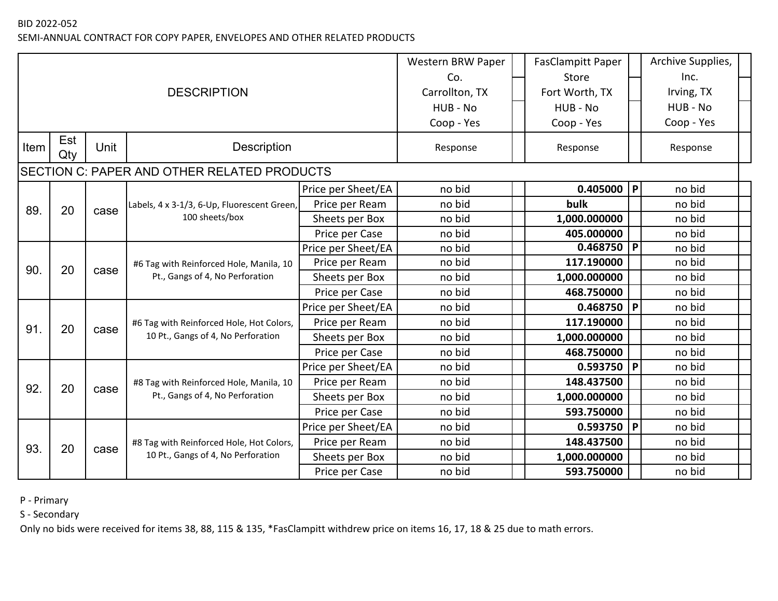SEMI-ANNUAL CONTRACT FOR COPY PAPER, ENVELOPES AND OTHER RELATED PRODUCTS

|      |            |      |                                             |                    | Western BRW Paper | <b>FasClampitt Paper</b> |              | Archive Supplies, |
|------|------------|------|---------------------------------------------|--------------------|-------------------|--------------------------|--------------|-------------------|
|      |            |      |                                             |                    | Co.               | Store                    |              | Inc.              |
|      |            |      | <b>DESCRIPTION</b>                          |                    | Carrollton, TX    | Fort Worth, TX           |              | Irving, TX        |
|      |            |      |                                             |                    | HUB - No          | HUB - No                 |              | HUB - No          |
|      |            |      |                                             |                    | Coop - Yes        | Coop - Yes               |              | Coop - Yes        |
| Item | Est<br>Qty | Unit | <b>Description</b>                          |                    | Response          | Response                 |              | Response          |
|      |            |      | SECTION C: PAPER AND OTHER RELATED PRODUCTS |                    |                   |                          |              |                   |
|      |            |      |                                             | Price per Sheet/EA | no bid            | 0.405000                 | P            | no bid            |
| 89.  | 20         | case | Labels, 4 x 3-1/3, 6-Up, Fluorescent Green, | Price per Ream     | no bid            | bulk                     |              | no bid            |
|      |            |      | 100 sheets/box                              | Sheets per Box     | no bid            | 1,000.000000             |              | no bid            |
|      |            |      |                                             | Price per Case     | no bid            | 405.000000               |              | no bid            |
|      |            |      |                                             | Price per Sheet/EA | no bid            | 0.468750                 | $\mathsf{P}$ | no bid            |
| 90.  | 20         | case | #6 Tag with Reinforced Hole, Manila, 10     | Price per Ream     | no bid            | 117.190000               |              | no bid            |
|      |            |      | Pt., Gangs of 4, No Perforation             | Sheets per Box     | no bid            | 1,000.000000             |              | no bid            |
|      |            |      |                                             | Price per Case     | no bid            | 468.750000               |              | no bid            |
|      |            |      |                                             | Price per Sheet/EA | no bid            | $0.468750$   P           |              | no bid            |
| 91.  | 20         |      | #6 Tag with Reinforced Hole, Hot Colors,    | Price per Ream     | no bid            | 117.190000               |              | no bid            |
|      |            | case | 10 Pt., Gangs of 4, No Perforation          | Sheets per Box     | no bid            | 1,000.000000             |              | no bid            |
|      |            |      |                                             | Price per Case     | no bid            | 468.750000               |              | no bid            |
|      |            |      |                                             | Price per Sheet/EA | no bid            | 0.593750                 | P            | no bid            |
| 92.  | 20         | case | #8 Tag with Reinforced Hole, Manila, 10     | Price per Ream     | no bid            | 148.437500               |              | no bid            |
|      |            |      | Pt., Gangs of 4, No Perforation             | Sheets per Box     | no bid            | 1,000.000000             |              | no bid            |
|      |            |      |                                             | Price per Case     | no bid            | 593.750000               |              | no bid            |
|      |            |      |                                             | Price per Sheet/EA | no bid            | 0.593750                 | P            | no bid            |
| 93.  | 20         | case | #8 Tag with Reinforced Hole, Hot Colors,    | Price per Ream     | no bid            | 148.437500               |              | no bid            |
|      |            |      | 10 Pt., Gangs of 4, No Perforation          | Sheets per Box     | no bid            | 1,000.000000             |              | no bid            |
|      |            |      |                                             | Price per Case     | no bid            | 593.750000               |              | no bid            |

P - Primary

S - Secondary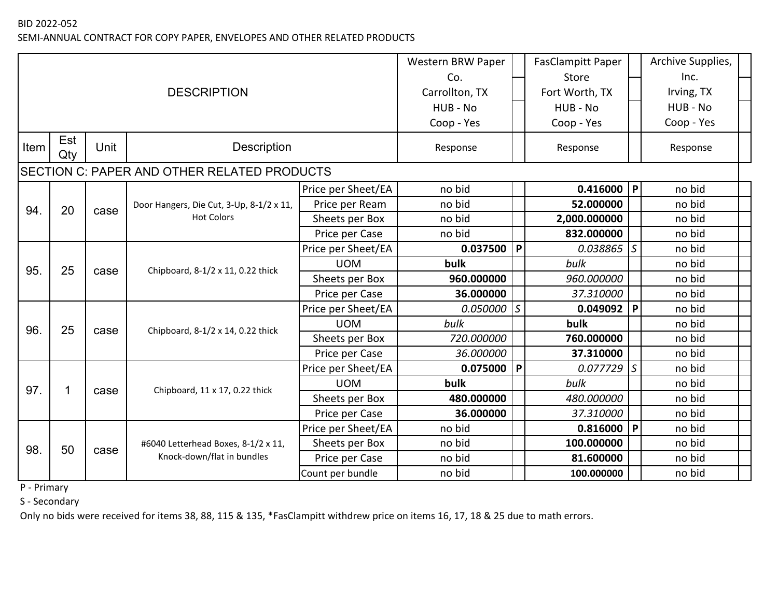SEMI-ANNUAL CONTRACT FOR COPY PAPER, ENVELOPES AND OTHER RELATED PRODUCTS

|      |            |      |                                             |                    | Western BRW Paper |     | <b>FasClampitt Paper</b> |   | Archive Supplies, |
|------|------------|------|---------------------------------------------|--------------------|-------------------|-----|--------------------------|---|-------------------|
|      |            |      |                                             |                    | Co.               |     | Store                    |   | Inc.              |
|      |            |      | <b>DESCRIPTION</b>                          |                    | Carrollton, TX    |     | Fort Worth, TX           |   | Irving, TX        |
|      |            |      |                                             |                    | HUB - No          |     | HUB - No                 |   | HUB - No          |
|      |            |      |                                             |                    | Coop - Yes        |     | Coop - Yes               |   | Coop - Yes        |
| Item | Est<br>Qty | Unit | <b>Description</b>                          |                    | Response          |     | Response                 |   | Response          |
|      |            |      | SECTION C: PAPER AND OTHER RELATED PRODUCTS |                    |                   |     |                          |   |                   |
|      |            |      |                                             | Price per Sheet/EA | no bid            |     | 0.416000                 | P | no bid            |
| 94.  | 20         |      | Door Hangers, Die Cut, 3-Up, 8-1/2 x 11,    | Price per Ream     | no bid            |     | 52.000000                |   | no bid            |
|      |            | case | <b>Hot Colors</b>                           | Sheets per Box     | no bid            |     | 2,000.000000             |   | no bid            |
|      |            |      |                                             | Price per Case     | no bid            |     | 832.000000               |   | no bid            |
|      |            |      |                                             | Price per Sheet/EA | 0.037500          | P   | $0.038865$ S             |   | no bid            |
| 95.  | 25         | case | Chipboard, 8-1/2 x 11, 0.22 thick           | <b>UOM</b>         | bulk              |     | bulk                     |   | no bid            |
|      |            |      |                                             | Sheets per Box     | 960.000000        |     | 960.000000               |   | no bid            |
|      |            |      |                                             | Price per Case     | 36.000000         |     | 37.310000                |   | no bid            |
|      |            |      |                                             | Price per Sheet/EA | 0.050000          | ls. | $0.049092$   P           |   | no bid            |
| 96.  | 25         | case | Chipboard, 8-1/2 x 14, 0.22 thick           | <b>UOM</b>         | bulk              |     | bulk                     |   | no bid            |
|      |            |      |                                             | Sheets per Box     | 720.000000        |     | 760.000000               |   | no bid            |
|      |            |      |                                             | Price per Case     | 36.000000         |     | 37.310000                |   | no bid            |
|      |            |      |                                             | Price per Sheet/EA | 0.075000          | P   | $0.077729$ S             |   | no bid            |
| 97.  | 1          | case | Chipboard, 11 x 17, 0.22 thick              | <b>UOM</b>         | bulk              |     | bulk                     |   | no bid            |
|      |            |      |                                             | Sheets per Box     | 480.000000        |     | 480.000000               |   | no bid            |
|      |            |      |                                             | Price per Case     | 36.000000         |     | 37.310000                |   | no bid            |
|      |            |      |                                             | Price per Sheet/EA | no bid            |     | 0.816000                 | P | no bid            |
| 98.  | 50         | case | #6040 Letterhead Boxes, 8-1/2 x 11,         | Sheets per Box     | no bid            |     | 100.000000               |   | no bid            |
|      |            |      | Knock-down/flat in bundles                  | Price per Case     | no bid            |     | 81.600000                |   | no bid            |
|      |            |      |                                             | Count per bundle   | no bid            |     | 100.000000               |   | no bid            |

P - Primary

S - Secondary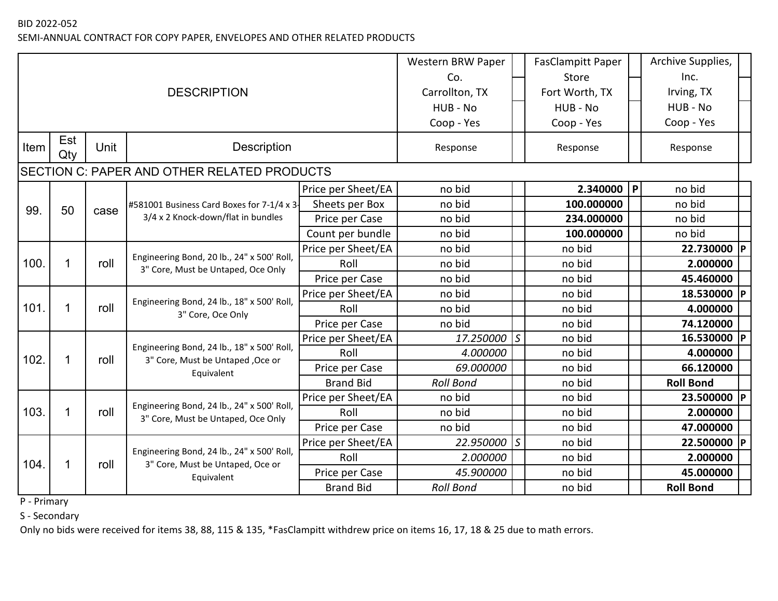SEMI-ANNUAL CONTRACT FOR COPY PAPER, ENVELOPES AND OTHER RELATED PRODUCTS

| Western BRW Paper<br><b>FasClampitt Paper</b> |            |      |                                                                                |                    |                  |                 |                |              | Archive Supplies, |
|-----------------------------------------------|------------|------|--------------------------------------------------------------------------------|--------------------|------------------|-----------------|----------------|--------------|-------------------|
|                                               |            |      |                                                                                |                    | Co.              |                 | Store          |              | Inc.              |
|                                               |            |      | <b>DESCRIPTION</b>                                                             |                    | Carrollton, TX   |                 | Fort Worth, TX |              | Irving, TX        |
|                                               |            |      |                                                                                |                    | HUB - No         |                 | HUB - No       |              | HUB - No          |
|                                               |            |      |                                                                                |                    | Coop - Yes       |                 | Coop - Yes     |              | Coop - Yes        |
| Item                                          | Est<br>Qty | Unit | <b>Description</b>                                                             |                    | Response         |                 | Response       |              | Response          |
|                                               |            |      | SECTION C: PAPER AND OTHER RELATED PRODUCTS                                    |                    |                  |                 |                |              |                   |
|                                               |            |      |                                                                                | Price per Sheet/EA | no bid           |                 | 2.340000       | $\mathsf{P}$ | no bid            |
| 99.                                           | 50         |      | #581001 Business Card Boxes for 7-1/4 x 3-                                     | Sheets per Box     | no bid           |                 | 100.000000     |              | no bid            |
|                                               |            | case | 3/4 x 2 Knock-down/flat in bundles                                             | Price per Case     | no bid           |                 | 234.000000     |              | no bid            |
|                                               |            |      |                                                                                | Count per bundle   | no bid           |                 | 100.000000     |              | no bid            |
|                                               |            |      | Engineering Bond, 20 lb., 24" x 500' Roll,                                     | Price per Sheet/EA | no bid           |                 | no bid         |              | 22.730000<br>l P  |
| 100.                                          | 1          | roll | 3" Core, Must be Untaped, Oce Only                                             | Roll               | no bid           |                 | no bid         |              | 2.000000          |
|                                               |            |      |                                                                                | Price per Case     | no bid           |                 | no bid         |              | 45.460000         |
|                                               |            |      | Engineering Bond, 24 lb., 18" x 500' Roll,                                     | Price per Sheet/EA | no bid           |                 | no bid         |              | 18.530000<br> P   |
| 101                                           | 1          | roll | 3" Core, Oce Only                                                              | Roll               | no bid           |                 | no bid         |              | 4.000000          |
|                                               |            |      |                                                                                | Price per Case     | no bid           |                 | no bid         |              | 74.120000         |
|                                               |            |      |                                                                                | Price per Sheet/EA | 17.250000        | $\vert s \vert$ | no bid         |              | 16.530000 P       |
| 102.                                          | 1          | roll | Engineering Bond, 24 lb., 18" x 500' Roll,<br>3" Core, Must be Untaped, Oce or | Roll               | 4.000000         |                 | no bid         |              | 4.000000          |
|                                               |            |      | Equivalent                                                                     | Price per Case     | 69.000000        |                 | no bid         |              | 66.120000         |
|                                               |            |      |                                                                                | <b>Brand Bid</b>   | <b>Roll Bond</b> |                 | no bid         |              | <b>Roll Bond</b>  |
|                                               |            |      | Engineering Bond, 24 lb., 24" x 500' Roll,                                     | Price per Sheet/EA | no bid           |                 | no bid         |              | 23.500000<br> P   |
| 103.                                          |            | roll | 3" Core, Must be Untaped, Oce Only                                             | Roll               | no bid           |                 | no bid         |              | 2.000000          |
|                                               |            |      |                                                                                | Price per Case     | no bid           |                 | no bid         |              | 47.000000         |
|                                               |            |      |                                                                                | Price per Sheet/EA | 22.950000        | $\vert s \vert$ | no bid         |              | 22.500000 P       |
| 104.                                          |            | roll | Engineering Bond, 24 lb., 24" x 500' Roll,<br>3" Core, Must be Untaped, Oce or | Roll               | 2.000000         |                 | no bid         |              | 2.000000          |
|                                               |            |      | Equivalent                                                                     | Price per Case     | 45.900000        |                 | no bid         |              | 45.000000         |
|                                               |            |      |                                                                                | <b>Brand Bid</b>   | <b>Roll Bond</b> |                 | no bid         |              | <b>Roll Bond</b>  |

P - Primary

S - Secondary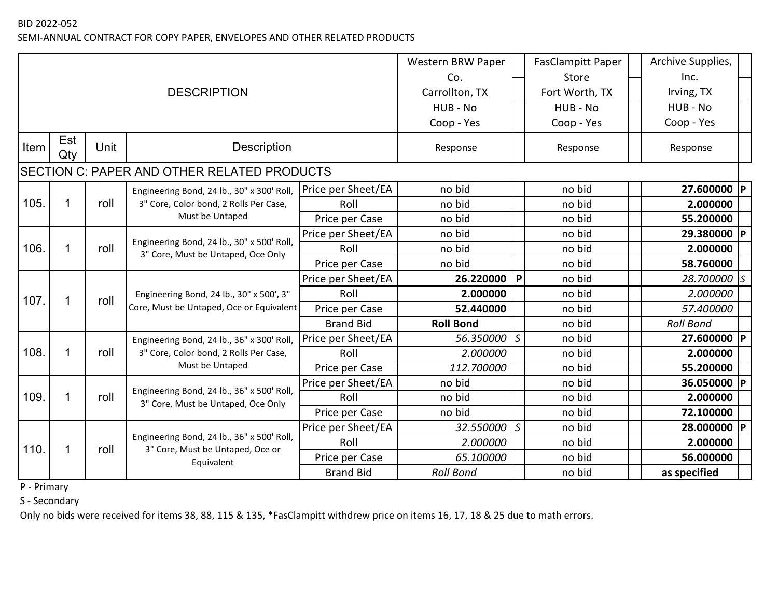SEMI-ANNUAL CONTRACT FOR COPY PAPER, ENVELOPES AND OTHER RELATED PRODUCTS

|      |                                          |                                                |                                                                                      |                                            | Western BRW Paper  |            | <b>FasClampitt Paper</b> | Archive Supplies, |             |  |
|------|------------------------------------------|------------------------------------------------|--------------------------------------------------------------------------------------|--------------------------------------------|--------------------|------------|--------------------------|-------------------|-------------|--|
|      |                                          |                                                |                                                                                      |                                            | Co.                |            | Store                    | Inc.              |             |  |
|      |                                          |                                                | <b>DESCRIPTION</b>                                                                   |                                            | Carrollton, TX     |            | Fort Worth, TX           | Irving, TX        |             |  |
|      |                                          |                                                |                                                                                      | HUB - No                                   |                    | HUB - No   | HUB - No                 |                   |             |  |
|      |                                          |                                                |                                                                                      | Coop - Yes                                 |                    | Coop - Yes | Coop - Yes               |                   |             |  |
| Item | Est<br><b>Description</b><br>Unit<br>Qty |                                                | Response                                                                             |                                            | Response           | Response   |                          |                   |             |  |
|      |                                          |                                                | SECTION C: PAPER AND OTHER RELATED PRODUCTS                                          |                                            |                    |            |                          |                   |             |  |
|      |                                          |                                                | Engineering Bond, 24 lb., 30" x 300' Roll,                                           | Price per Sheet/EA                         | no bid             |            | no bid                   | 27.600000 P       |             |  |
| 105. |                                          | roll<br>3" Core, Color bond, 2 Rolls Per Case, | Roll                                                                                 | no bid                                     |                    | no bid     | 2.000000                 |                   |             |  |
|      |                                          |                                                | Must be Untaped                                                                      | Price per Case                             | no bid             |            | no bid                   | 55.200000         |             |  |
|      |                                          |                                                |                                                                                      | Engineering Bond, 24 lb., 30" x 500' Roll, | Price per Sheet/EA | no bid     |                          | no bid            | 29.380000 P |  |
| 106. | 1                                        | roll                                           | 3" Core, Must be Untaped, Oce Only                                                   | Roll                                       | no bid             |            | no bid                   | 2.000000          |             |  |
|      |                                          |                                                |                                                                                      | Price per Case                             | no bid             |            | no bid                   | 58.760000         |             |  |
|      |                                          |                                                | Engineering Bond, 24 lb., 30" x 500', 3"<br>Core, Must be Untaped, Oce or Equivalent | Price per Sheet/EA                         | 26.220000          | P          | no bid                   | 28.700000 S       |             |  |
| 107. | 1                                        | roll                                           |                                                                                      | Roll                                       | 2.000000           |            | no bid                   | 2.000000          |             |  |
|      |                                          |                                                |                                                                                      | Price per Case                             | 52.440000          |            | no bid                   | 57.400000         |             |  |
|      |                                          |                                                |                                                                                      | <b>Brand Bid</b>                           | <b>Roll Bond</b>   |            | no bid                   | <b>Roll Bond</b>  |             |  |
|      |                                          |                                                | Engineering Bond, 24 lb., 36" x 300' Roll,                                           | Price per Sheet/EA                         | 56.350000 S        |            | no bid                   | 27.600000 P       |             |  |
| 108. |                                          | roll                                           | 3" Core, Color bond, 2 Rolls Per Case,                                               | Roll                                       | 2.000000           |            | no bid                   | 2.000000          |             |  |
|      |                                          |                                                | Must be Untaped                                                                      | Price per Case                             | 112.700000         |            | no bid                   | 55.200000         |             |  |
|      |                                          |                                                | Engineering Bond, 24 lb., 36" x 500' Roll,                                           | Price per Sheet/EA                         | no bid             |            | no bid                   | 36.050000         | <u> р</u>   |  |
| 109. |                                          | roll                                           | 3" Core, Must be Untaped, Oce Only                                                   | Roll                                       | no bid             |            | no bid                   | 2.000000          |             |  |
|      |                                          |                                                |                                                                                      | Price per Case                             | no bid             |            | no bid                   | 72.100000         |             |  |
|      |                                          |                                                |                                                                                      | Price per Sheet/EA                         | 32.550000 S        |            | no bid                   | 28.000000 P       |             |  |
| 110. | 1                                        | roll                                           | Engineering Bond, 24 lb., 36" x 500' Roll,<br>3" Core, Must be Untaped, Oce or       | Roll                                       | 2.000000           |            | no bid                   | 2.000000          |             |  |
|      |                                          | Equivalent                                     |                                                                                      | Price per Case                             | 65.100000          |            | no bid                   | 56.000000         |             |  |
|      |                                          |                                                | <b>Brand Bid</b>                                                                     |                                            | <b>Roll Bond</b>   |            | no bid                   | as specified      |             |  |

P - Primary

S - Secondary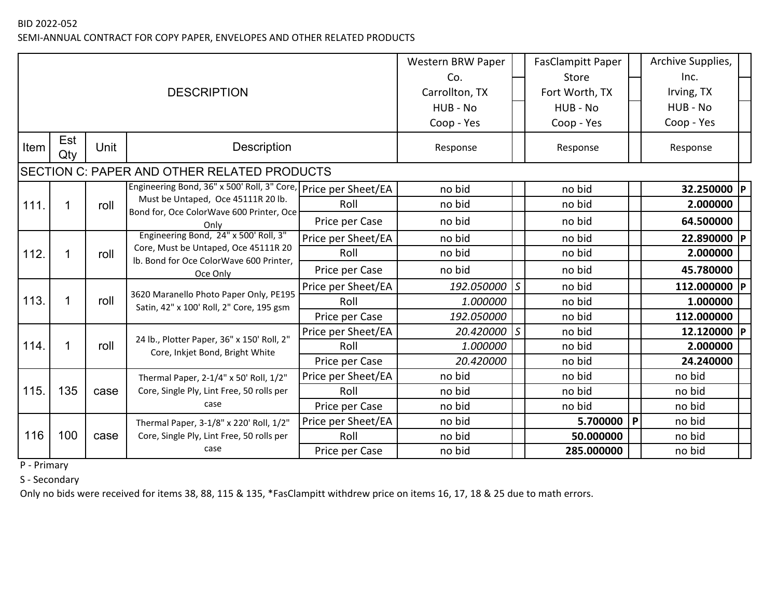SEMI-ANNUAL CONTRACT FOR COPY PAPER, ENVELOPES AND OTHER RELATED PRODUCTS

|      |            |      |                                                                                             |                    | Western BRW Paper |            | <b>FasClampitt Paper</b> | Archive Supplies,     |
|------|------------|------|---------------------------------------------------------------------------------------------|--------------------|-------------------|------------|--------------------------|-----------------------|
|      |            |      |                                                                                             |                    | Co.               |            | Store                    | Inc.                  |
|      |            |      | <b>DESCRIPTION</b>                                                                          |                    | Carrollton, TX    |            | Fort Worth, TX           | Irving, TX            |
|      |            |      |                                                                                             | HUB - No           |                   | HUB - No   | HUB - No                 |                       |
|      |            |      |                                                                                             | Coop - Yes         |                   | Coop - Yes | Coop - Yes               |                       |
| Item | Est<br>Qty | Unit | Description                                                                                 |                    | Response          |            | Response                 | Response              |
|      |            |      | SECTION C: PAPER AND OTHER RELATED PRODUCTS                                                 |                    |                   |            |                          |                       |
|      |            |      | Engineering Bond, 36" x 500' Roll, 3" Core, Price per Sheet/EA                              |                    | no bid            |            | no bid                   | 32.250000<br><b>P</b> |
| 111. | 1          | roll | Must be Untaped, Oce 45111R 20 lb.                                                          | Roll               | no bid            |            | no bid                   | 2.000000              |
|      |            |      | Bond for, Oce ColorWave 600 Printer, Oce<br>Only                                            | Price per Case     | no bid            |            | no bid                   | 64.500000             |
|      |            |      | Engineering Bond, 24" x 500' Roll, 3"                                                       | Price per Sheet/EA | no bid            |            | no bid                   | 22.890000 P           |
| 112. |            | roll | Core, Must be Untaped, Oce 45111R 20<br>Ib. Bond for Oce ColorWave 600 Printer,<br>Oce Only | Roll               | no bid            |            | no bid                   | 2.000000              |
|      |            |      |                                                                                             | Price per Case     | no bid            |            | no bid                   | 45.780000             |
|      |            | roll | 3620 Maranello Photo Paper Only, PE195<br>Satin, 42" x 100' Roll, 2" Core, 195 gsm          | Price per Sheet/EA | 192.050000        | ls.        | no bid                   | 112.000000<br>P       |
| 113. |            |      |                                                                                             | Roll               | 1.000000          |            | no bid                   | 1.000000              |
|      |            |      |                                                                                             | Price per Case     | 192.050000        |            | no bid                   | 112.000000            |
|      |            |      | 24 lb., Plotter Paper, 36" x 150' Roll, 2"                                                  | Price per Sheet/EA | 20.420000 S       |            | no bid                   | 12.120000<br>P        |
| 114. |            | roll | Core, Inkjet Bond, Bright White                                                             | Roll               | 1.000000          |            | no bid                   | 2.000000              |
|      |            |      |                                                                                             | Price per Case     | 20.420000         |            | no bid                   | 24.240000             |
|      |            |      | Thermal Paper, 2-1/4" x 50' Roll, 1/2"                                                      | Price per Sheet/EA | no bid            |            | no bid                   | no bid                |
| 115. | 135        | case | Core, Single Ply, Lint Free, 50 rolls per                                                   | Roll               | no bid            |            | no bid                   | no bid                |
|      |            |      | case                                                                                        | Price per Case     | no bid            |            | no bid                   | no bid                |
|      |            |      | Thermal Paper, 3-1/8" x 220' Roll, 1/2"                                                     | Price per Sheet/EA | no bid            |            | 5.700000 P               | no bid                |
| 116  | 100        | case | Core, Single Ply, Lint Free, 50 rolls per                                                   | Roll               | no bid            |            | 50.000000                | no bid                |
|      |            |      | case                                                                                        | Price per Case     | no bid            |            | 285.000000               | no bid                |

P - Primary

S - Secondary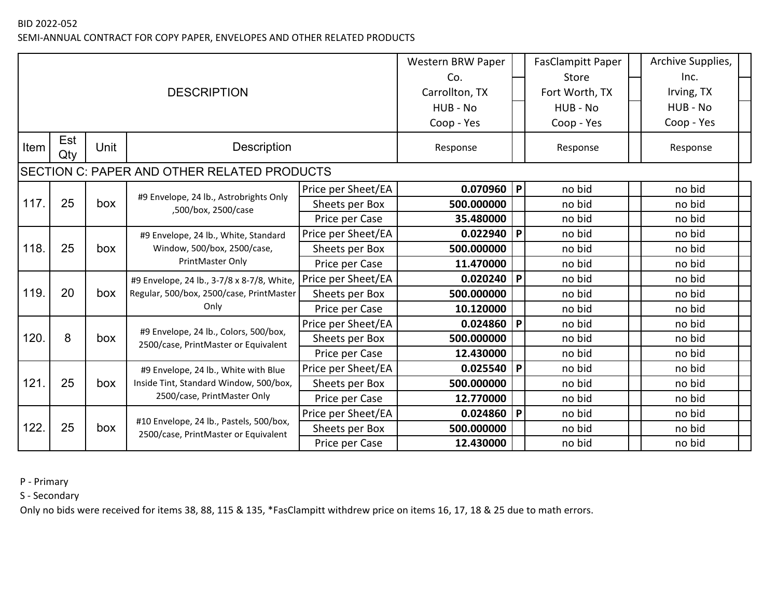SEMI-ANNUAL CONTRACT FOR COPY PAPER, ENVELOPES AND OTHER RELATED PRODUCTS

|      |            |      |                                                                                                |                    | Western BRW Paper |              | <b>FasClampitt Paper</b> | Archive Supplies, |
|------|------------|------|------------------------------------------------------------------------------------------------|--------------------|-------------------|--------------|--------------------------|-------------------|
|      |            |      |                                                                                                |                    | Co.               |              | Store                    | Inc.              |
|      |            |      | <b>DESCRIPTION</b>                                                                             |                    | Carrollton, TX    |              | Fort Worth, TX           | Irving, TX        |
|      |            |      |                                                                                                | HUB - No           |                   | HUB - No     | HUB - No                 |                   |
|      |            |      |                                                                                                |                    | Coop - Yes        |              | Coop - Yes               | Coop - Yes        |
| Item | Est<br>Qty | Unit | Description                                                                                    |                    | Response          |              | Response                 | Response          |
|      |            |      | SECTION C: PAPER AND OTHER RELATED PRODUCTS                                                    |                    |                   |              |                          |                   |
|      |            |      | #9 Envelope, 24 lb., Astrobrights Only<br>,500/box, 2500/case                                  | Price per Sheet/EA | 0.070960          | P            | no bid                   | no bid            |
| 117. | 25         | box  |                                                                                                | Sheets per Box     | 500.000000        |              | no bid                   | no bid            |
|      |            |      |                                                                                                | Price per Case     | 35.480000         |              | no bid                   | no bid            |
|      |            |      | #9 Envelope, 24 lb., White, Standard<br>Window, 500/box, 2500/case,<br>PrintMaster Only        | Price per Sheet/EA | 0.022940          | P            | no bid                   | no bid            |
| 118. | 25         | box  |                                                                                                | Sheets per Box     | 500.000000        |              | no bid                   | no bid            |
|      |            |      |                                                                                                | Price per Case     | 11.470000         |              | no bid                   | no bid            |
|      |            |      | #9 Envelope, 24 lb., 3-7/8 x 8-7/8, White,<br>Regular, 500/box, 2500/case, PrintMaster<br>Only | Price per Sheet/EA | 0.020240          | $\mathsf{P}$ | no bid                   | no bid            |
| 119. | 20         | box  |                                                                                                | Sheets per Box     | 500.000000        |              | no bid                   | no bid            |
|      |            |      |                                                                                                | Price per Case     | 10.120000         |              | no bid                   | no bid            |
|      |            |      | #9 Envelope, 24 lb., Colors, 500/box,                                                          | Price per Sheet/EA | 0.024860          | P            | no bid                   | no bid            |
| 120. | 8          | box  | 2500/case, PrintMaster or Equivalent                                                           | Sheets per Box     | 500.000000        |              | no bid                   | no bid            |
|      |            |      |                                                                                                | Price per Case     | 12.430000         |              | no bid                   | no bid            |
|      |            |      | #9 Envelope, 24 lb., White with Blue                                                           | Price per Sheet/EA | 0.025540          | $\mathsf{P}$ | no bid                   | no bid            |
| 121. | 25         | box  | Inside Tint, Standard Window, 500/box,                                                         | Sheets per Box     | 500.000000        |              | no bid                   | no bid            |
|      |            |      | 2500/case, PrintMaster Only                                                                    | Price per Case     | 12.770000         |              | no bid                   | no bid            |
|      |            |      |                                                                                                | Price per Sheet/EA | 0.024860          | P            | no bid                   | no bid            |
| 122. | 25         | box  | #10 Envelope, 24 lb., Pastels, 500/box,<br>2500/case, PrintMaster or Equivalent                | Sheets per Box     | 500.000000        |              | no bid                   | no bid            |
|      |            |      |                                                                                                | Price per Case     | 12.430000         |              | no bid                   | no bid            |

P - Primary

S - Secondary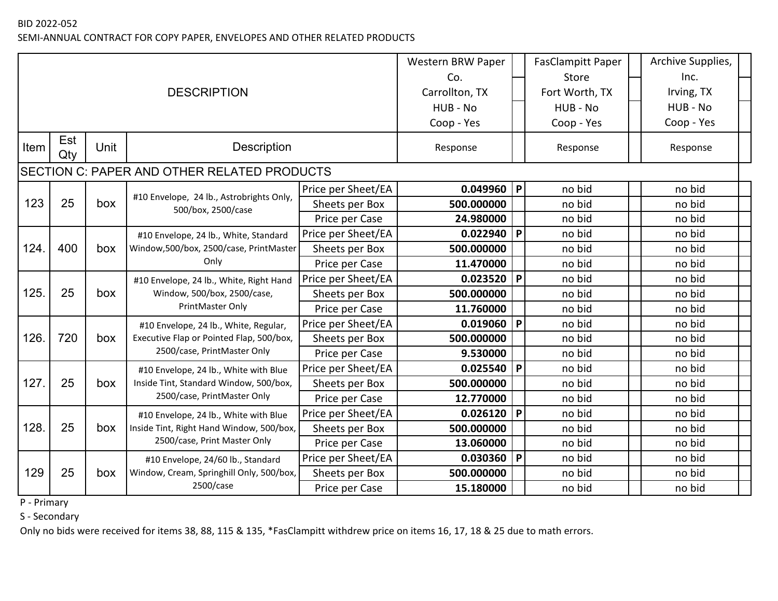SEMI-ANNUAL CONTRACT FOR COPY PAPER, ENVELOPES AND OTHER RELATED PRODUCTS

|      |                                          |     |                                                                                            |                    | Western BRW Paper |                           | <b>FasClampitt Paper</b> | Archive Supplies, |
|------|------------------------------------------|-----|--------------------------------------------------------------------------------------------|--------------------|-------------------|---------------------------|--------------------------|-------------------|
|      |                                          |     |                                                                                            |                    | Co.               |                           | Store                    | Inc.              |
|      |                                          |     | <b>DESCRIPTION</b>                                                                         |                    | Carrollton, TX    |                           | Fort Worth, TX           | Irving, TX        |
|      |                                          |     |                                                                                            | HUB - No           |                   | HUB - No                  | HUB - No                 |                   |
|      |                                          |     |                                                                                            | Coop - Yes         |                   | Coop - Yes                | Coop - Yes               |                   |
| Item | Est<br><b>Description</b><br>Unit<br>Qty |     | Response                                                                                   |                    | Response          | Response                  |                          |                   |
|      |                                          |     | SECTION C: PAPER AND OTHER RELATED PRODUCTS                                                |                    |                   |                           |                          |                   |
|      |                                          |     |                                                                                            | Price per Sheet/EA | 0.049960          | P                         | no bid                   | no bid            |
| 123  | 25                                       | box | #10 Envelope, 24 lb., Astrobrights Only,<br>500/box, 2500/case                             | Sheets per Box     | 500.000000        |                           | no bid                   | no bid            |
|      |                                          |     |                                                                                            | Price per Case     | 24.980000         |                           | no bid                   | no bid            |
|      |                                          |     | #10 Envelope, 24 lb., White, Standard<br>Window, 500/box, 2500/case, PrintMaster<br>Only   | Price per Sheet/EA | 0.022940          | P                         | no bid                   | no bid            |
| 124. | 400                                      | box |                                                                                            | Sheets per Box     | 500.000000        |                           | no bid                   | no bid            |
|      |                                          |     |                                                                                            | Price per Case     | 11.470000         |                           | no bid                   | no bid            |
|      |                                          |     | #10 Envelope, 24 lb., White, Right Hand<br>Window, 500/box, 2500/case,<br>PrintMaster Only | Price per Sheet/EA | 0.023520          | P                         | no bid                   | no bid            |
| 125. | 25                                       | box |                                                                                            | Sheets per Box     | 500.000000        |                           | no bid                   | no bid            |
|      |                                          |     |                                                                                            | Price per Case     | 11.760000         |                           | no bid                   | no bid            |
|      |                                          |     | #10 Envelope, 24 lb., White, Regular,                                                      | Price per Sheet/EA | 0.019060          | $\boldsymbol{\mathsf{P}}$ | no bid                   | no bid            |
| 126. | 720                                      | box | Executive Flap or Pointed Flap, 500/box,<br>2500/case, PrintMaster Only                    | Sheets per Box     | 500.000000        |                           | no bid                   | no bid            |
|      |                                          |     |                                                                                            | Price per Case     | 9.530000          |                           | no bid                   | no bid            |
|      |                                          |     | #10 Envelope, 24 lb., White with Blue                                                      | Price per Sheet/EA | 0.025540          | P                         | no bid                   | no bid            |
| 127. | 25                                       | box | Inside Tint, Standard Window, 500/box,                                                     | Sheets per Box     | 500.000000        |                           | no bid                   | no bid            |
|      |                                          |     | 2500/case, PrintMaster Only                                                                | Price per Case     | 12.770000         |                           | no bid                   | no bid            |
|      |                                          |     | #10 Envelope, 24 lb., White with Blue                                                      | Price per Sheet/EA | 0.026120          | $\boldsymbol{\mathsf{P}}$ | no bid                   | no bid            |
| 128. | 25                                       | box | Inside Tint, Right Hand Window, 500/box,                                                   | Sheets per Box     | 500.000000        |                           | no bid                   | no bid            |
|      |                                          |     | 2500/case, Print Master Only                                                               | Price per Case     | 13.060000         |                           | no bid                   | no bid            |
|      |                                          |     | #10 Envelope, 24/60 lb., Standard                                                          | Price per Sheet/EA | 0.030360          | P                         | no bid                   | no bid            |
| 129  | 25                                       | box | Window, Cream, Springhill Only, 500/box,                                                   | Sheets per Box     | 500.000000        |                           | no bid                   | no bid            |
|      |                                          |     | 2500/case                                                                                  | Price per Case     | 15.180000         |                           | no bid                   | no bid            |

P - Primary

S - Secondary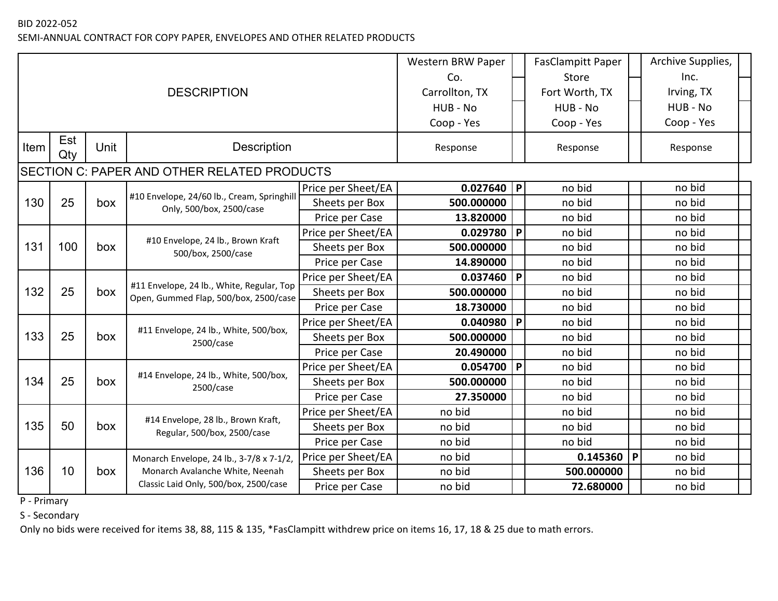SEMI-ANNUAL CONTRACT FOR COPY PAPER, ENVELOPES AND OTHER RELATED PRODUCTS

|      |            |                            |                                                                                    |                    | Western BRW Paper |            | <b>FasClampitt Paper</b> |            | Archive Supplies, |
|------|------------|----------------------------|------------------------------------------------------------------------------------|--------------------|-------------------|------------|--------------------------|------------|-------------------|
|      |            |                            |                                                                                    |                    | Co.               |            | Store                    |            | Inc.              |
|      |            |                            | <b>DESCRIPTION</b>                                                                 |                    | Carrollton, TX    |            | Fort Worth, TX           |            | Irving, TX        |
|      |            |                            |                                                                                    | HUB - No           |                   | HUB - No   |                          | HUB - No   |                   |
|      |            |                            |                                                                                    | Coop - Yes         |                   | Coop - Yes |                          | Coop - Yes |                   |
| Item | Est<br>Qty | Unit<br><b>Description</b> |                                                                                    | Response           |                   | Response   |                          | Response   |                   |
|      |            |                            | SECTION C: PAPER AND OTHER RELATED PRODUCTS                                        |                    |                   |            |                          |            |                   |
|      |            |                            |                                                                                    | Price per Sheet/EA | $0.027640$   P    |            | no bid                   |            | no bid            |
| 130  | 25         | box                        | #10 Envelope, 24/60 lb., Cream, Springhill<br>Only, 500/box, 2500/case             | Sheets per Box     | 500.000000        |            | no bid                   |            | no bid            |
|      |            |                            |                                                                                    | Price per Case     | 13.820000         |            | no bid                   |            | no bid            |
|      |            | box                        | #10 Envelope, 24 lb., Brown Kraft<br>500/box, 2500/case                            | Price per Sheet/EA | $0.029780$   P    |            | no bid                   |            | no bid            |
| 131  | 100        |                            |                                                                                    | Sheets per Box     | 500.000000        |            | no bid                   |            | no bid            |
|      |            |                            |                                                                                    | Price per Case     | 14.890000         |            | no bid                   |            | no bid            |
|      |            |                            | #11 Envelope, 24 lb., White, Regular, Top<br>Open, Gummed Flap, 500/box, 2500/case | Price per Sheet/EA | 0.037460   P      |            | no bid                   |            | no bid            |
| 132  | 25         | box                        |                                                                                    | Sheets per Box     | 500.000000        |            | no bid                   |            | no bid            |
|      |            |                            |                                                                                    | Price per Case     | 18.730000         |            | no bid                   |            | no bid            |
|      |            |                            | #11 Envelope, 24 lb., White, 500/box,<br>2500/case                                 | Price per Sheet/EA | 0.040980   P      |            | no bid                   |            | no bid            |
| 133  | 25         | box                        |                                                                                    | Sheets per Box     | 500.000000        |            | no bid                   |            | no bid            |
|      |            |                            |                                                                                    | Price per Case     | 20.490000         |            | no bid                   |            | no bid            |
|      |            |                            | #14 Envelope, 24 lb., White, 500/box,                                              | Price per Sheet/EA | $0.054700$   P    |            | no bid                   |            | no bid            |
| 134  | 25         | box                        | 2500/case                                                                          | Sheets per Box     | 500.000000        |            | no bid                   |            | no bid            |
|      |            |                            |                                                                                    | Price per Case     | 27.350000         |            | no bid                   |            | no bid            |
|      |            |                            |                                                                                    | Price per Sheet/EA | no bid            |            | no bid                   |            | no bid            |
| 135  | 50         | box                        | #14 Envelope, 28 lb., Brown Kraft,<br>Regular, 500/box, 2500/case                  | Sheets per Box     | no bid            |            | no bid                   |            | no bid            |
|      |            |                            |                                                                                    | Price per Case     | no bid            |            | no bid                   |            | no bid            |
|      |            |                            | Monarch Envelope, 24 lb., 3-7/8 x 7-1/2,                                           | Price per Sheet/EA | no bid            |            | 0.145360                 | P          | no bid            |
| 136  | 10         | box                        | Monarch Avalanche White, Neenah                                                    | Sheets per Box     | no bid            |            | 500.000000               |            | no bid            |
|      |            |                            | Classic Laid Only, 500/box, 2500/case                                              | Price per Case     | no bid            |            | 72.680000                |            | no bid            |

P - Primary

S - Secondary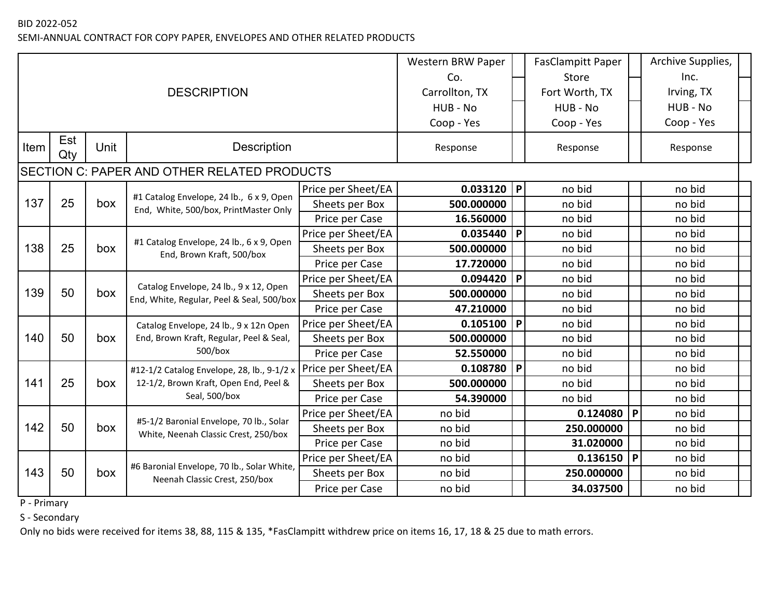SEMI-ANNUAL CONTRACT FOR COPY PAPER, ENVELOPES AND OTHER RELATED PRODUCTS

|      |                                          |     |                                                                                   | Western BRW Paper  |                | <b>FasClampitt Paper</b> |                | Archive Supplies, |            |
|------|------------------------------------------|-----|-----------------------------------------------------------------------------------|--------------------|----------------|--------------------------|----------------|-------------------|------------|
|      |                                          |     |                                                                                   |                    | Co.            |                          | <b>Store</b>   |                   | Inc.       |
|      |                                          |     | <b>DESCRIPTION</b>                                                                |                    | Carrollton, TX |                          | Fort Worth, TX |                   | Irving, TX |
|      |                                          |     |                                                                                   | HUB - No           |                | HUB - No                 |                | HUB - No          |            |
|      |                                          |     |                                                                                   | Coop - Yes         |                | Coop - Yes               |                | Coop - Yes        |            |
| Item | Est<br><b>Description</b><br>Unit<br>Qty |     | Response                                                                          |                    | Response       |                          | Response       |                   |            |
|      |                                          |     | SECTION C: PAPER AND OTHER RELATED PRODUCTS                                       |                    |                |                          |                |                   |            |
|      |                                          |     |                                                                                   | Price per Sheet/EA | $0.033120$   P |                          | no bid         |                   | no bid     |
| 137  | 25                                       | box | #1 Catalog Envelope, 24 lb., 6 x 9, Open<br>End, White, 500/box, PrintMaster Only | Sheets per Box     | 500.000000     |                          | no bid         |                   | no bid     |
|      |                                          |     |                                                                                   | Price per Case     | 16.560000      |                          | no bid         |                   | no bid     |
|      |                                          |     | #1 Catalog Envelope, 24 lb., 6 x 9, Open                                          | Price per Sheet/EA | 0.035440       | $\mathsf{P}$             | no bid         |                   | no bid     |
| 138  | 25                                       | box | End, Brown Kraft, 500/box                                                         | Sheets per Box     | 500.000000     |                          | no bid         |                   | no bid     |
|      |                                          |     |                                                                                   | Price per Case     | 17.720000      |                          | no bid         |                   | no bid     |
|      |                                          |     | Catalog Envelope, 24 lb., 9 x 12, Open                                            | Price per Sheet/EA | 0.094420       | $\mathsf{P}$             | no bid         |                   | no bid     |
| 139  | 50                                       | box | End, White, Regular, Peel & Seal, 500/box                                         | Sheets per Box     | 500.000000     |                          | no bid         |                   | no bid     |
|      |                                          |     |                                                                                   | Price per Case     | 47.210000      |                          | no bid         |                   | no bid     |
|      |                                          |     | Catalog Envelope, 24 lb., 9 x 12n Open                                            | Price per Sheet/EA | 0.105100       | $\mathsf{P}$             | no bid         |                   | no bid     |
| 140  | 50                                       | box | End, Brown Kraft, Regular, Peel & Seal,<br>500/box                                | Sheets per Box     | 500.000000     |                          | no bid         |                   | no bid     |
|      |                                          |     |                                                                                   | Price per Case     | 52.550000      |                          | no bid         |                   | no bid     |
|      |                                          |     | #12-1/2 Catalog Envelope, 28, lb., 9-1/2 x                                        | Price per Sheet/EA | 0.108780       | $\mathsf{P}$             | no bid         |                   | no bid     |
| 141  | 25                                       | box | 12-1/2, Brown Kraft, Open End, Peel &                                             | Sheets per Box     | 500.000000     |                          | no bid         |                   | no bid     |
|      |                                          |     | Seal, 500/box                                                                     | Price per Case     | 54.390000      |                          | no bid         |                   | no bid     |
|      |                                          |     | #5-1/2 Baronial Envelope, 70 lb., Solar                                           | Price per Sheet/EA | no bid         |                          | 0.124080       | P                 | no bid     |
| 142  | 50                                       | box | White, Neenah Classic Crest, 250/box                                              | Sheets per Box     | no bid         |                          | 250.000000     |                   | no bid     |
|      |                                          |     |                                                                                   | Price per Case     | no bid         |                          | 31.020000      |                   | no bid     |
|      |                                          |     | #6 Baronial Envelope, 70 lb., Solar White,                                        | Price per Sheet/EA | no bid         |                          | 0.136150       | $\mathsf{P}$      | no bid     |
| 143  | 50                                       | box | Neenah Classic Crest, 250/box                                                     | Sheets per Box     | no bid         |                          | 250.000000     |                   | no bid     |
|      |                                          |     |                                                                                   | Price per Case     | no bid         |                          | 34.037500      |                   | no bid     |

P - Primary

S - Secondary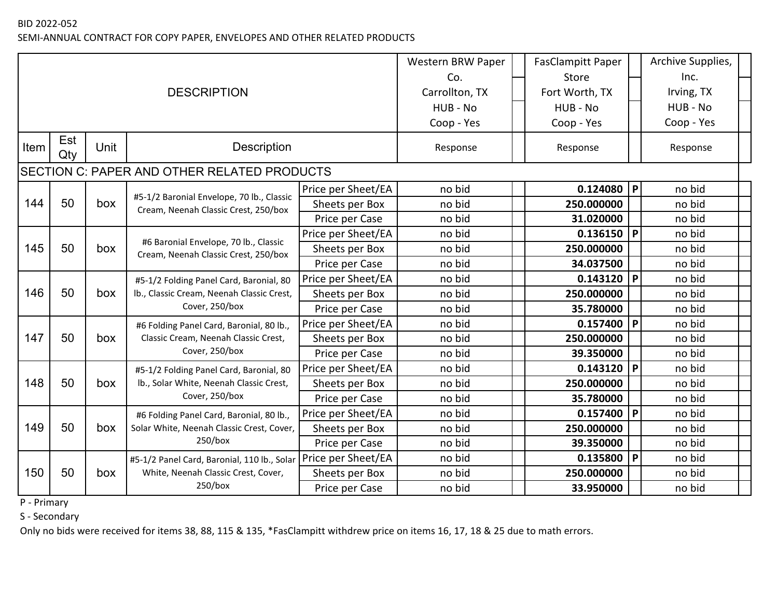SEMI-ANNUAL CONTRACT FOR COPY PAPER, ENVELOPES AND OTHER RELATED PRODUCTS

|      |                                          |     |                                                                                                    |                                       | Western BRW Paper  | <b>FasClampitt Paper</b> |              | Archive Supplies, |        |
|------|------------------------------------------|-----|----------------------------------------------------------------------------------------------------|---------------------------------------|--------------------|--------------------------|--------------|-------------------|--------|
|      |                                          |     |                                                                                                    |                                       | Co.                | <b>Store</b>             |              | Inc.              |        |
|      |                                          |     | <b>DESCRIPTION</b>                                                                                 |                                       | Carrollton, TX     | Fort Worth, TX           |              | Irving, TX        |        |
|      |                                          |     |                                                                                                    | HUB - No                              | HUB - No           |                          | HUB - No     |                   |        |
|      |                                          |     |                                                                                                    | Coop - Yes                            | Coop - Yes         |                          | Coop - Yes   |                   |        |
| Item | Est<br><b>Description</b><br>Unit<br>Qty |     | Response                                                                                           | Response                              |                    | Response                 |              |                   |        |
|      |                                          |     | SECTION C: PAPER AND OTHER RELATED PRODUCTS                                                        |                                       |                    |                          |              |                   |        |
|      |                                          |     | #5-1/2 Baronial Envelope, 70 lb., Classic                                                          | Price per Sheet/EA                    | no bid             | 0.124080                 | $\mathsf{P}$ | no bid            |        |
| 144  | 50                                       | box | Cream, Neenah Classic Crest, 250/box                                                               | Sheets per Box                        | no bid             | 250.000000               |              | no bid            |        |
|      |                                          |     |                                                                                                    | Price per Case                        | no bid             | 31.020000                |              | no bid            |        |
|      |                                          |     |                                                                                                    | #6 Baronial Envelope, 70 lb., Classic | Price per Sheet/EA | no bid                   | 0.136150     | $\mathsf{P}$      | no bid |
| 145  | 50                                       | box | Cream, Neenah Classic Crest, 250/box                                                               | Sheets per Box                        | no bid             | 250.000000               |              | no bid            |        |
|      |                                          |     |                                                                                                    | Price per Case                        | no bid             | 34.037500                |              | no bid            |        |
|      |                                          |     | #5-1/2 Folding Panel Card, Baronial, 80                                                            | Price per Sheet/EA                    | no bid             | 0.143120                 | P            | no bid            |        |
| 146  | 50                                       | box | Ib., Classic Cream, Neenah Classic Crest,<br>Cover, 250/box                                        | Sheets per Box                        | no bid             | 250.000000               |              | no bid            |        |
|      |                                          |     |                                                                                                    | Price per Case                        | no bid             | 35.780000                |              | no bid            |        |
|      |                                          |     | #6 Folding Panel Card, Baronial, 80 lb.,<br>Classic Cream, Neenah Classic Crest,<br>Cover, 250/box | Price per Sheet/EA                    | no bid             | 0.157400                 | P            | no bid            |        |
| 147  | 50                                       | box |                                                                                                    | Sheets per Box                        | no bid             | 250.000000               |              | no bid            |        |
|      |                                          |     |                                                                                                    | Price per Case                        | no bid             | 39.350000                |              | no bid            |        |
|      |                                          |     | #5-1/2 Folding Panel Card, Baronial, 80                                                            | Price per Sheet/EA                    | no bid             | 0.143120                 | P            | no bid            |        |
| 148  | 50                                       | box | Ib., Solar White, Neenah Classic Crest,                                                            | Sheets per Box                        | no bid             | 250.000000               |              | no bid            |        |
|      |                                          |     | Cover, 250/box                                                                                     | Price per Case                        | no bid             | 35.780000                |              | no bid            |        |
|      |                                          |     | #6 Folding Panel Card, Baronial, 80 lb.,                                                           | Price per Sheet/EA                    | no bid             | 0.157400                 | P            | no bid            |        |
| 149  | 50                                       | box | Solar White, Neenah Classic Crest, Cover,<br>$250/b$ ox                                            | Sheets per Box                        | no bid             | 250.000000               |              | no bid            |        |
|      |                                          |     |                                                                                                    | Price per Case                        | no bid             | 39.350000                |              | no bid            |        |
|      |                                          |     | #5-1/2 Panel Card, Baronial, 110 lb., Solar                                                        | Price per Sheet/EA                    | no bid             | 0.135800                 | P            | no bid            |        |
| 150  | 50                                       | box | White, Neenah Classic Crest, Cover,                                                                | Sheets per Box                        | no bid             | 250.000000               |              | no bid            |        |
|      |                                          |     | $250/b$ ox<br>Price per Case                                                                       |                                       | no bid             | 33.950000                |              | no bid            |        |

P - Primary

S - Secondary